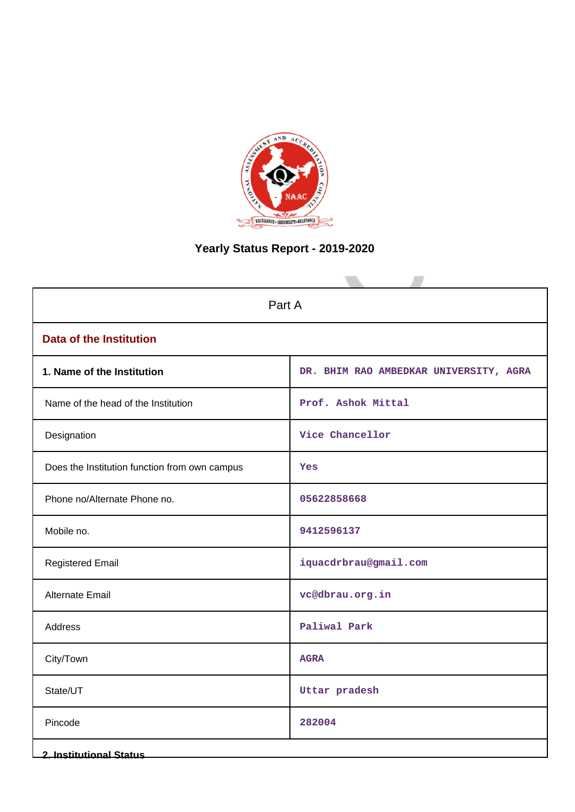

# **Yearly Status Report - 2019-2020**

| Part A                                        |                                        |  |  |  |  |  |
|-----------------------------------------------|----------------------------------------|--|--|--|--|--|
| <b>Data of the Institution</b>                |                                        |  |  |  |  |  |
| 1. Name of the Institution                    | DR. BHIM RAO AMBEDKAR UNIVERSITY, AGRA |  |  |  |  |  |
| Name of the head of the Institution           | Prof. Ashok Mittal                     |  |  |  |  |  |
| Designation                                   | Vice Chancellor                        |  |  |  |  |  |
| Does the Institution function from own campus | Yes                                    |  |  |  |  |  |
| Phone no/Alternate Phone no.                  | 05622858668                            |  |  |  |  |  |
| Mobile no.                                    | 9412596137                             |  |  |  |  |  |
| <b>Registered Email</b>                       | iquacdrbrau@gmail.com                  |  |  |  |  |  |
| <b>Alternate Email</b>                        | vc@dbrau.org.in                        |  |  |  |  |  |
| Address                                       | Paliwal Park                           |  |  |  |  |  |
| City/Town                                     | <b>AGRA</b>                            |  |  |  |  |  |
| State/UT                                      | Uttar pradesh                          |  |  |  |  |  |
| Pincode                                       | 282004                                 |  |  |  |  |  |
| <b>2. Institutional Status</b>                |                                        |  |  |  |  |  |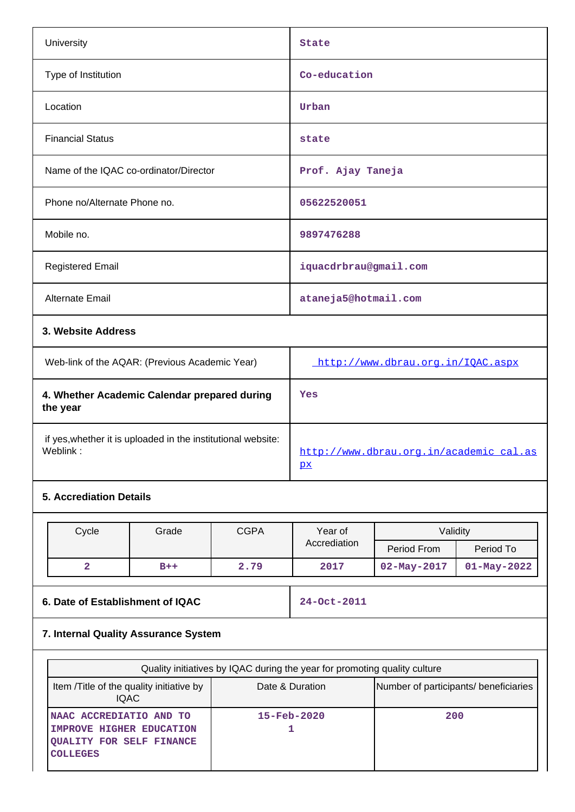| University                             | <b>State</b>          |  |  |  |  |  |
|----------------------------------------|-----------------------|--|--|--|--|--|
| Type of Institution                    | Co-education          |  |  |  |  |  |
| Location                               | Urban                 |  |  |  |  |  |
| <b>Financial Status</b>                | state                 |  |  |  |  |  |
| Name of the IQAC co-ordinator/Director | Prof. Ajay Taneja     |  |  |  |  |  |
| Phone no/Alternate Phone no.           | 05622520051           |  |  |  |  |  |
| Mobile no.                             | 9897476288            |  |  |  |  |  |
| <b>Registered Email</b>                | iquacdrbrau@gmail.com |  |  |  |  |  |
| Alternate Email                        | ataneja5@hotmail.com  |  |  |  |  |  |
| 3. Website Address                     |                       |  |  |  |  |  |

| Web-link of the AQAR: (Previous Academic Year)                           | http://www.dbrau.org.in/IOAC.aspx                                 |
|--------------------------------------------------------------------------|-------------------------------------------------------------------|
| 4. Whether Academic Calendar prepared during<br>the year                 | Yes                                                               |
| if yes, whether it is uploaded in the institutional website:<br>Weblink: | http://www.dbrau.org.in/academic cal.as<br>$\overline{\text{px}}$ |

# **5. Accrediation Details**

| Cycle | Grade | <b>CGPA</b> | Year of      | Validity          |                   |  |  |
|-------|-------|-------------|--------------|-------------------|-------------------|--|--|
|       |       |             | Accrediation | Period From       | Period To         |  |  |
| ີ     | $B++$ | 2.79        | 2017         | $02 - May - 2017$ | $01 - May - 2022$ |  |  |

# **6. Date of Establishment of IQAC 24-Oct-2011**

# **7. Internal Quality Assurance System**

| Quality initiatives by IQAC during the year for promoting quality culture                                         |                          |                                       |  |  |  |  |  |  |
|-------------------------------------------------------------------------------------------------------------------|--------------------------|---------------------------------------|--|--|--|--|--|--|
| Item / Title of the quality initiative by<br><b>IQAC</b>                                                          | Date & Duration          | Number of participants/ beneficiaries |  |  |  |  |  |  |
| <b>INAAC ACCREDIATIO AND TO</b><br>IMPROVE HIGHER EDUCATION<br><b>QUALITY FOR SELF FINANCE</b><br><b>COLLEGES</b> | $15 - \text{Feb} - 2020$ | 200                                   |  |  |  |  |  |  |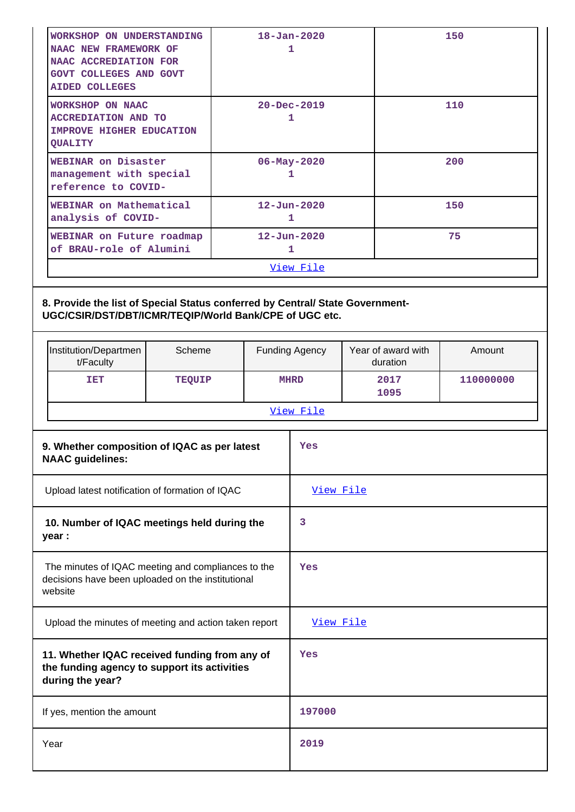|                                                                                                                    | <b>WORKSHOP ON UNDERSTANDING</b><br>NAAC NEW FRAMEWORK OF<br>NAAC ACCREDIATION FOR<br>GOVT COLLEGES AND GOVT<br><b>AIDED COLLEGES</b>   |               |                        |  | $18 - Jan - 2020$<br>1 |                                |              | 150       |  |
|--------------------------------------------------------------------------------------------------------------------|-----------------------------------------------------------------------------------------------------------------------------------------|---------------|------------------------|--|------------------------|--------------------------------|--------------|-----------|--|
|                                                                                                                    | <b>WORKSHOP ON NAAC</b><br><b>ACCREDIATION AND TO</b><br>IMPROVE HIGHER EDUCATION<br>QUALITY                                            |               | $20 - Dec - 2019$<br>1 |  |                        |                                | 110          |           |  |
|                                                                                                                    | WEBINAR on Disaster<br>management with special<br>reference to COVID-                                                                   |               |                        |  | 06-May-2020<br>1       |                                |              | 200       |  |
|                                                                                                                    | WEBINAR on Mathematical<br>analysis of COVID-                                                                                           |               |                        |  | $12 - Jun - 2020$<br>1 |                                |              | 150       |  |
|                                                                                                                    | WEBINAR on Future roadmap<br>of BRAU-role of Alumini                                                                                    |               |                        |  | $12 - Jun - 2020$<br>1 |                                |              | 75        |  |
|                                                                                                                    |                                                                                                                                         |               |                        |  | View File              |                                |              |           |  |
|                                                                                                                    | 8. Provide the list of Special Status conferred by Central/ State Government-<br>UGC/CSIR/DST/DBT/ICMR/TEQIP/World Bank/CPE of UGC etc. |               |                        |  |                        |                                |              |           |  |
|                                                                                                                    | Institution/Departmen<br>t/Faculty                                                                                                      | Scheme        |                        |  | <b>Funding Agency</b>  | Year of award with<br>duration |              | Amount    |  |
|                                                                                                                    | IET                                                                                                                                     | <b>TEQUIP</b> |                        |  | <b>MHRD</b>            |                                | 2017<br>1095 | 110000000 |  |
|                                                                                                                    |                                                                                                                                         |               |                        |  | View File              |                                |              |           |  |
|                                                                                                                    | 9. Whether composition of IQAC as per latest<br><b>NAAC</b> guidelines:                                                                 |               |                        |  | Yes                    |                                |              |           |  |
|                                                                                                                    | Upload latest notification of formation of IQAC                                                                                         |               |                        |  | View File              |                                |              |           |  |
|                                                                                                                    | 10. Number of IQAC meetings held during the<br>year :                                                                                   |               |                        |  | 3                      |                                |              |           |  |
| The minutes of IQAC meeting and compliances to the<br>decisions have been uploaded on the institutional<br>website |                                                                                                                                         |               | Yes                    |  |                        |                                |              |           |  |
| Upload the minutes of meeting and action taken report                                                              |                                                                                                                                         |               |                        |  |                        |                                |              |           |  |
|                                                                                                                    |                                                                                                                                         |               |                        |  | View File              |                                |              |           |  |
|                                                                                                                    | 11. Whether IQAC received funding from any of<br>the funding agency to support its activities<br>during the year?                       |               |                        |  | Yes                    |                                |              |           |  |
|                                                                                                                    | If yes, mention the amount                                                                                                              |               |                        |  | 197000                 |                                |              |           |  |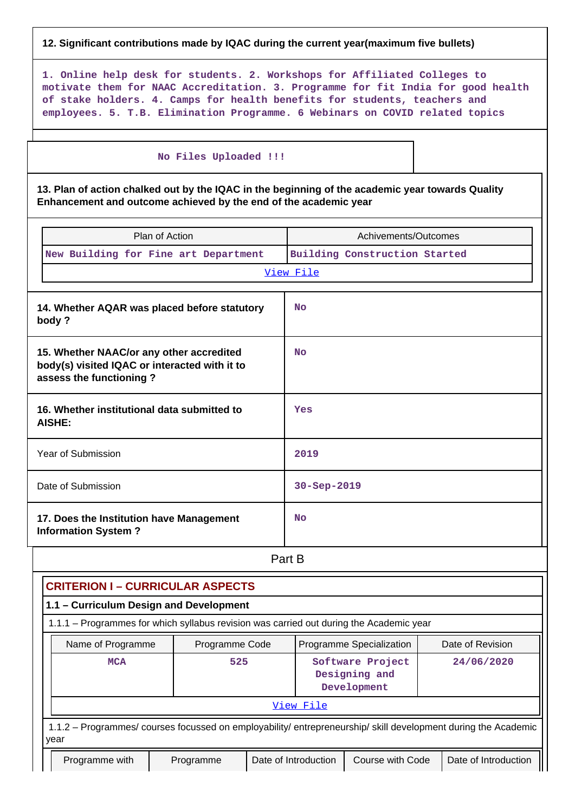## **12. Significant contributions made by IQAC during the current year(maximum five bullets)**

**1. Online help desk for students. 2. Workshops for Affiliated Colleges to motivate them for NAAC Accreditation. 3. Programme for fit India for good health of stake holders. 4. Camps for health benefits for students, teachers and employees. 5. T.B. Elimination Programme. 6 Webinars on COVID related topics**

#### **No Files Uploaded !!!**

**13. Plan of action chalked out by the IQAC in the beginning of the academic year towards Quality Enhancement and outcome achieved by the end of the academic year**

| Plan of Action                                                                                                       |                | Achivements/Outcomes                                                                                           |                  |  |  |  |  |
|----------------------------------------------------------------------------------------------------------------------|----------------|----------------------------------------------------------------------------------------------------------------|------------------|--|--|--|--|
| New Building for Fine art Department                                                                                 |                | Building Construction Started                                                                                  |                  |  |  |  |  |
|                                                                                                                      |                | View File                                                                                                      |                  |  |  |  |  |
| 14. Whether AQAR was placed before statutory<br>body?                                                                |                | No                                                                                                             |                  |  |  |  |  |
| 15. Whether NAAC/or any other accredited<br>body(s) visited IQAC or interacted with it to<br>assess the functioning? |                | No                                                                                                             |                  |  |  |  |  |
| 16. Whether institutional data submitted to<br><b>AISHE:</b>                                                         |                | Yes                                                                                                            |                  |  |  |  |  |
| Year of Submission                                                                                                   |                | 2019                                                                                                           |                  |  |  |  |  |
| Date of Submission                                                                                                   |                | 30-Sep-2019                                                                                                    |                  |  |  |  |  |
| 17. Does the Institution have Management<br><b>Information System?</b>                                               |                | <b>No</b>                                                                                                      |                  |  |  |  |  |
|                                                                                                                      |                | Part B                                                                                                         |                  |  |  |  |  |
| <b>CRITERION I - CURRICULAR ASPECTS</b>                                                                              |                |                                                                                                                |                  |  |  |  |  |
| 1.1 - Curriculum Design and Development                                                                              |                |                                                                                                                |                  |  |  |  |  |
|                                                                                                                      |                | 1.1.1 - Programmes for which syllabus revision was carried out during the Academic year                        |                  |  |  |  |  |
| Name of Programme                                                                                                    | Programme Code | Programme Specialization                                                                                       | Date of Revision |  |  |  |  |
| 525<br><b>MCA</b>                                                                                                    |                | 24/06/2020<br>Software Project<br>Designing and<br>Development                                                 |                  |  |  |  |  |
|                                                                                                                      |                | View File                                                                                                      |                  |  |  |  |  |
| year                                                                                                                 |                | 1.1.2 - Programmes/ courses focussed on employability/ entrepreneurship/ skill development during the Academic |                  |  |  |  |  |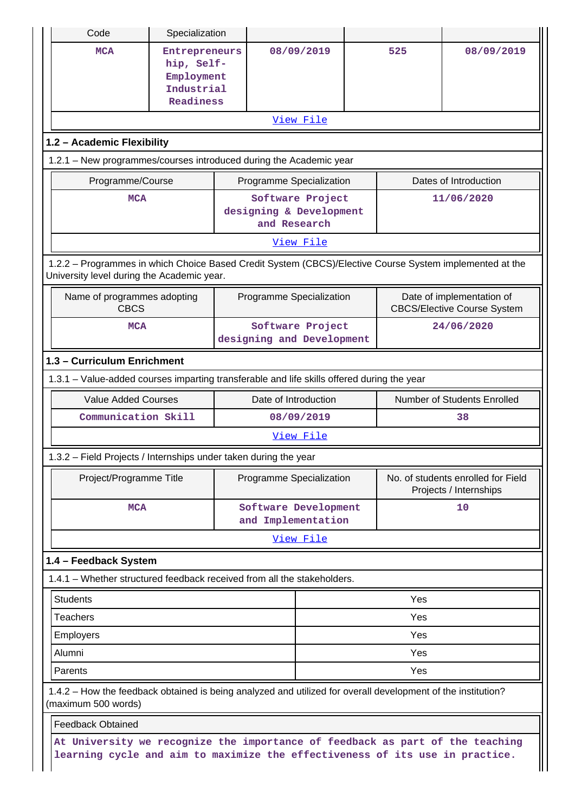| Code                                                                                                                                                  | Specialization                                                                                                                                                |                                               |                                                             |    |     |                                                                 |  |  |
|-------------------------------------------------------------------------------------------------------------------------------------------------------|---------------------------------------------------------------------------------------------------------------------------------------------------------------|-----------------------------------------------|-------------------------------------------------------------|----|-----|-----------------------------------------------------------------|--|--|
| <b>MCA</b>                                                                                                                                            | Entrepreneurs<br>hip, Self-<br>Employment<br>Industrial<br>Readiness                                                                                          |                                               | 08/09/2019                                                  |    | 525 | 08/09/2019                                                      |  |  |
|                                                                                                                                                       |                                                                                                                                                               |                                               | View File                                                   |    |     |                                                                 |  |  |
| 1.2 - Academic Flexibility                                                                                                                            |                                                                                                                                                               |                                               |                                                             |    |     |                                                                 |  |  |
| 1.2.1 - New programmes/courses introduced during the Academic year                                                                                    |                                                                                                                                                               |                                               |                                                             |    |     |                                                                 |  |  |
| Programme/Course                                                                                                                                      |                                                                                                                                                               |                                               | Programme Specialization                                    |    |     | Dates of Introduction                                           |  |  |
| <b>MCA</b>                                                                                                                                            |                                                                                                                                                               |                                               | Software Project<br>designing & Development<br>and Research |    |     | 11/06/2020                                                      |  |  |
|                                                                                                                                                       |                                                                                                                                                               |                                               | View File                                                   |    |     |                                                                 |  |  |
| 1.2.2 - Programmes in which Choice Based Credit System (CBCS)/Elective Course System implemented at the<br>University level during the Academic year. |                                                                                                                                                               |                                               |                                                             |    |     |                                                                 |  |  |
| Name of programmes adopting<br><b>CBCS</b>                                                                                                            |                                                                                                                                                               |                                               | Programme Specialization                                    |    |     | Date of implementation of<br><b>CBCS/Elective Course System</b> |  |  |
| <b>MCA</b>                                                                                                                                            |                                                                                                                                                               | Software Project<br>designing and Development |                                                             |    |     | 24/06/2020                                                      |  |  |
| 1.3 - Curriculum Enrichment                                                                                                                           |                                                                                                                                                               |                                               |                                                             |    |     |                                                                 |  |  |
| 1.3.1 – Value-added courses imparting transferable and life skills offered during the year                                                            |                                                                                                                                                               |                                               |                                                             |    |     |                                                                 |  |  |
| <b>Value Added Courses</b>                                                                                                                            |                                                                                                                                                               |                                               | Date of Introduction                                        |    |     | Number of Students Enrolled                                     |  |  |
| Communication Skill                                                                                                                                   |                                                                                                                                                               | 08/09/2019                                    |                                                             |    |     | 38                                                              |  |  |
|                                                                                                                                                       |                                                                                                                                                               |                                               | View File                                                   |    |     |                                                                 |  |  |
| 1.3.2 - Field Projects / Internships under taken during the year                                                                                      |                                                                                                                                                               |                                               |                                                             |    |     |                                                                 |  |  |
| Project/Programme Title                                                                                                                               |                                                                                                                                                               |                                               | Programme Specialization                                    |    |     | No. of students enrolled for Field<br>Projects / Internships    |  |  |
| <b>MCA</b>                                                                                                                                            |                                                                                                                                                               | Software Development<br>and Implementation    |                                                             | 10 |     |                                                                 |  |  |
|                                                                                                                                                       |                                                                                                                                                               |                                               | View File                                                   |    |     |                                                                 |  |  |
| 1.4 - Feedback System                                                                                                                                 |                                                                                                                                                               |                                               |                                                             |    |     |                                                                 |  |  |
| 1.4.1 – Whether structured feedback received from all the stakeholders.                                                                               |                                                                                                                                                               |                                               |                                                             |    |     |                                                                 |  |  |
| <b>Students</b>                                                                                                                                       |                                                                                                                                                               |                                               |                                                             |    | Yes |                                                                 |  |  |
| <b>Teachers</b>                                                                                                                                       |                                                                                                                                                               |                                               |                                                             |    | Yes |                                                                 |  |  |
| <b>Employers</b>                                                                                                                                      |                                                                                                                                                               |                                               |                                                             |    | Yes |                                                                 |  |  |
| Alumni                                                                                                                                                |                                                                                                                                                               |                                               |                                                             |    | Yes |                                                                 |  |  |
| Parents                                                                                                                                               |                                                                                                                                                               |                                               |                                                             |    | Yes |                                                                 |  |  |
| 1.4.2 - How the feedback obtained is being analyzed and utilized for overall development of the institution?<br>(maximum 500 words)                   |                                                                                                                                                               |                                               |                                                             |    |     |                                                                 |  |  |
| <b>Feedback Obtained</b>                                                                                                                              |                                                                                                                                                               |                                               |                                                             |    |     |                                                                 |  |  |
|                                                                                                                                                       | At University we recognize the importance of feedback as part of the teaching<br>learning cycle and aim to maximize the effectiveness of its use in practice. |                                               |                                                             |    |     |                                                                 |  |  |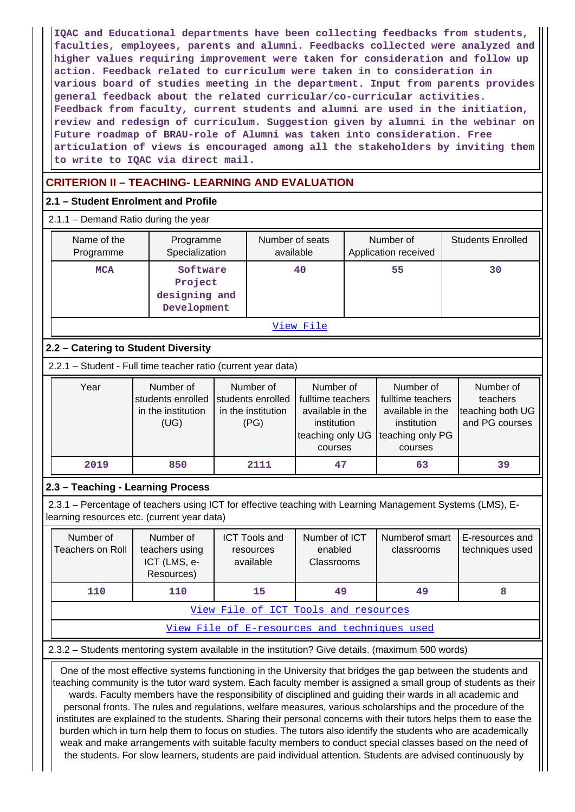**IQAC and Educational departments have been collecting feedbacks from students, faculties, employees, parents and alumni. Feedbacks collected were analyzed and higher values requiring improvement were taken for consideration and follow up action. Feedback related to curriculum were taken in to consideration in various board of studies meeting in the department. Input from parents provides general feedback about the related curricular/co-curricular activities. Feedback from faculty, current students and alumni are used in the initiation, review and redesign of curriculum. Suggestion given by alumni in the webinar on Future roadmap of BRAU-role of Alumni was taken into consideration. Free articulation of views is encouraged among all the stakeholders by inviting them to write to IQAC via direct mail.**

# **CRITERION II – TEACHING- LEARNING AND EVALUATION**

## **2.1 – Student Enrolment and Profile**

2.1.1 – Demand Ratio during the year

| Name of the<br>Programme | Programme<br>Specialization                         | Number of seats<br>available | Number of<br>Application received | <b>Students Enrolled</b> |  |  |  |  |
|--------------------------|-----------------------------------------------------|------------------------------|-----------------------------------|--------------------------|--|--|--|--|
| <b>MCA</b>               | Software<br>Project<br>designing and<br>Development | 40                           | 55                                | 30                       |  |  |  |  |
| View File                |                                                     |                              |                                   |                          |  |  |  |  |

# **2.2 – Catering to Student Diversity**

2.2.1 – Student - Full time teacher ratio (current year data)

| Year | Number of<br>students enrolled students enrolled<br>in the institution<br>(UG) | Number of<br>in the institution<br>(PG) | Number of<br>fulltime teachers<br>available in the<br>institution<br>teaching only UG teaching only PG | Number of<br>fulltime teachers<br>available in the<br>institution | Number of<br>teachers<br>teaching both UG<br>and PG courses |
|------|--------------------------------------------------------------------------------|-----------------------------------------|--------------------------------------------------------------------------------------------------------|-------------------------------------------------------------------|-------------------------------------------------------------|
|      |                                                                                |                                         | courses                                                                                                | courses                                                           |                                                             |
| 2019 | 850                                                                            | 2111                                    | 47                                                                                                     | 63                                                                | 39                                                          |

# **2.3 – Teaching - Learning Process**

 2.3.1 – Percentage of teachers using ICT for effective teaching with Learning Management Systems (LMS), Elearning resources etc. (current year data)

| Number of<br>Teachers on Roll        | Number of<br>teachers using<br>ICT (LMS, e-<br>Resources) | <b>ICT Tools and</b><br>resources<br>available | Number of ICT<br>enabled<br>Classrooms | Numberof smart<br>classrooms | E-resources and<br>techniques used |  |  |
|--------------------------------------|-----------------------------------------------------------|------------------------------------------------|----------------------------------------|------------------------------|------------------------------------|--|--|
| 110                                  | 110                                                       |                                                | 49<br>15                               |                              |                                    |  |  |
| View File of ICT Tools and resources |                                                           |                                                |                                        |                              |                                    |  |  |

[View File of E-resources and techniques used](https://assessmentonline.naac.gov.in/public/Postacc/e_resource/10241_e_resource_1625639266.xlsx)

2.3.2 – Students mentoring system available in the institution? Give details. (maximum 500 words)

 One of the most effective systems functioning in the University that bridges the gap between the students and teaching community is the tutor ward system. Each faculty member is assigned a small group of students as their wards. Faculty members have the responsibility of disciplined and guiding their wards in all academic and personal fronts. The rules and regulations, welfare measures, various scholarships and the procedure of the institutes are explained to the students. Sharing their personal concerns with their tutors helps them to ease the burden which in turn help them to focus on studies. The tutors also identify the students who are academically weak and make arrangements with suitable faculty members to conduct special classes based on the need of the students. For slow learners, students are paid individual attention. Students are advised continuously by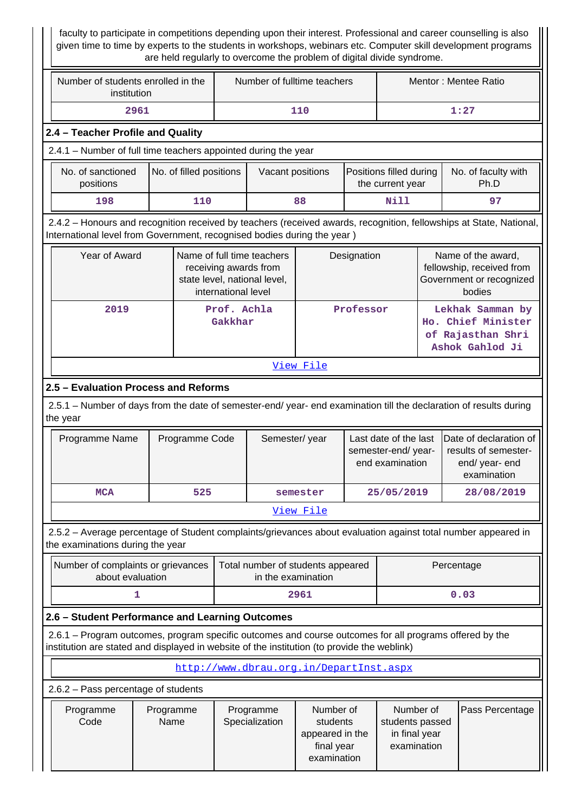faculty to participate in competitions depending upon their interest. Professional and career counselling is also given time to time by experts to the students in workshops, webinars etc. Computer skill development programs are held regularly to overcome the problem of digital divide syndrome.

II

| Number of students enrolled in the<br>institution                                                                                                                                                      |                        | Number of fulltime teachers                 |                     |                                                                                     | Mentor: Mentee Ratio                                                  |                                                                |                                                                                |                                                                                 |                                                                                       |
|--------------------------------------------------------------------------------------------------------------------------------------------------------------------------------------------------------|------------------------|---------------------------------------------|---------------------|-------------------------------------------------------------------------------------|-----------------------------------------------------------------------|----------------------------------------------------------------|--------------------------------------------------------------------------------|---------------------------------------------------------------------------------|---------------------------------------------------------------------------------------|
| 2961                                                                                                                                                                                                   |                        |                                             | 110                 |                                                                                     |                                                                       | 1:27                                                           |                                                                                |                                                                                 |                                                                                       |
| 2.4 - Teacher Profile and Quality                                                                                                                                                                      |                        |                                             |                     |                                                                                     |                                                                       |                                                                |                                                                                |                                                                                 |                                                                                       |
| 2.4.1 - Number of full time teachers appointed during the year                                                                                                                                         |                        |                                             |                     |                                                                                     |                                                                       |                                                                |                                                                                |                                                                                 |                                                                                       |
| No. of sanctioned<br>positions                                                                                                                                                                         |                        | No. of filled positions<br>Vacant positions |                     |                                                                                     |                                                                       |                                                                | Positions filled during<br>the current year                                    |                                                                                 | No. of faculty with<br>Ph.D                                                           |
| 198                                                                                                                                                                                                    |                        | 110                                         |                     |                                                                                     | 88                                                                    |                                                                | Nill                                                                           |                                                                                 | 97                                                                                    |
| 2.4.2 - Honours and recognition received by teachers (received awards, recognition, fellowships at State, National,<br>International level from Government, recognised bodies during the year)         |                        |                                             |                     |                                                                                     |                                                                       |                                                                |                                                                                |                                                                                 |                                                                                       |
| Year of Award                                                                                                                                                                                          |                        |                                             | international level | Name of full time teachers<br>receiving awards from<br>state level, national level, |                                                                       | Designation                                                    |                                                                                |                                                                                 | Name of the award,<br>fellowship, received from<br>Government or recognized<br>bodies |
| 2019                                                                                                                                                                                                   | Prof. Achla<br>Gakkhar |                                             |                     | Professor                                                                           |                                                                       |                                                                | Lekhak Samman by<br>Ho. Chief Minister<br>of Rajasthan Shri<br>Ashok Gahlod Ji |                                                                                 |                                                                                       |
|                                                                                                                                                                                                        |                        |                                             |                     |                                                                                     | View File                                                             |                                                                |                                                                                |                                                                                 |                                                                                       |
| 2.5 - Evaluation Process and Reforms                                                                                                                                                                   |                        |                                             |                     |                                                                                     |                                                                       |                                                                |                                                                                |                                                                                 |                                                                                       |
| 2.5.1 – Number of days from the date of semester-end/ year- end examination till the declaration of results during<br>the year                                                                         |                        |                                             |                     |                                                                                     |                                                                       |                                                                |                                                                                |                                                                                 |                                                                                       |
| Programme Name                                                                                                                                                                                         |                        | Programme Code                              |                     | Semester/year                                                                       |                                                                       | Last date of the last<br>semester-end/year-<br>end examination |                                                                                | Date of declaration of<br>results of semester-<br>end/ year- end<br>examination |                                                                                       |
| <b>MCA</b>                                                                                                                                                                                             |                        | 525                                         |                     |                                                                                     | semester                                                              | 25/05/2019                                                     |                                                                                | 28/08/2019                                                                      |                                                                                       |
|                                                                                                                                                                                                        |                        |                                             |                     |                                                                                     | View File                                                             |                                                                |                                                                                |                                                                                 |                                                                                       |
| 2.5.2 - Average percentage of Student complaints/grievances about evaluation against total number appeared in<br>the examinations during the year                                                      |                        |                                             |                     |                                                                                     |                                                                       |                                                                |                                                                                |                                                                                 |                                                                                       |
| Number of complaints or grievances<br>about evaluation                                                                                                                                                 |                        |                                             |                     | Total number of students appeared<br>in the examination                             |                                                                       |                                                                |                                                                                |                                                                                 | Percentage                                                                            |
|                                                                                                                                                                                                        | 1                      |                                             |                     |                                                                                     | 2961                                                                  |                                                                |                                                                                |                                                                                 | 0.03                                                                                  |
| 2.6 - Student Performance and Learning Outcomes                                                                                                                                                        |                        |                                             |                     |                                                                                     |                                                                       |                                                                |                                                                                |                                                                                 |                                                                                       |
| 2.6.1 – Program outcomes, program specific outcomes and course outcomes for all programs offered by the<br>institution are stated and displayed in website of the institution (to provide the weblink) |                        |                                             |                     |                                                                                     |                                                                       |                                                                |                                                                                |                                                                                 |                                                                                       |
|                                                                                                                                                                                                        |                        |                                             |                     | http://www.dbrau.org.in/DepartInst.aspx                                             |                                                                       |                                                                |                                                                                |                                                                                 |                                                                                       |
| 2.6.2 - Pass percentage of students                                                                                                                                                                    |                        |                                             |                     |                                                                                     |                                                                       |                                                                |                                                                                |                                                                                 |                                                                                       |
| Programme<br>Code                                                                                                                                                                                      | Programme<br>Name      |                                             |                     | Programme<br>Specialization                                                         | Number of<br>students<br>appeared in the<br>final year<br>examination |                                                                | Number of<br>students passed<br>in final year<br>examination                   |                                                                                 | Pass Percentage                                                                       |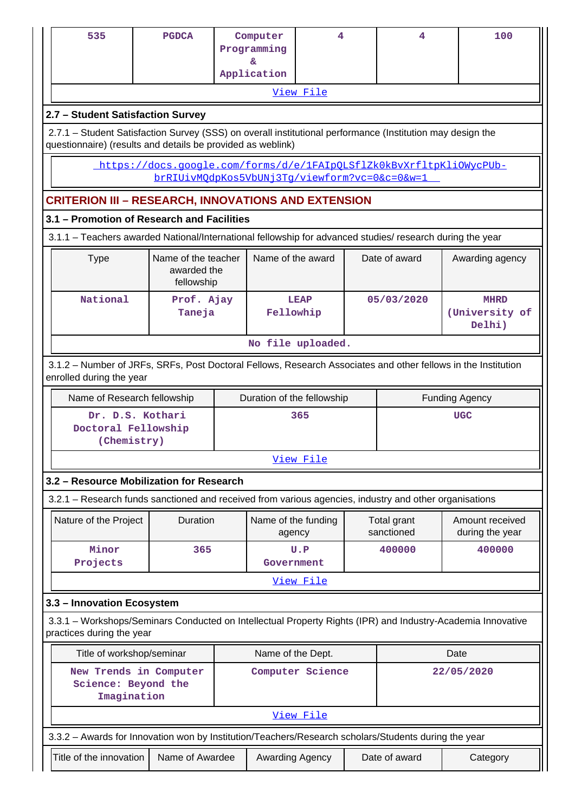| 535                                                                                                                                                                       | <b>PGDCA</b>                                           | Computer<br>Programming                                                                        | 4                          |  | 4             | 100                                     |  |  |  |
|---------------------------------------------------------------------------------------------------------------------------------------------------------------------------|--------------------------------------------------------|------------------------------------------------------------------------------------------------|----------------------------|--|---------------|-----------------------------------------|--|--|--|
|                                                                                                                                                                           |                                                        | ε.<br>Application                                                                              |                            |  |               |                                         |  |  |  |
|                                                                                                                                                                           |                                                        |                                                                                                | View File                  |  |               |                                         |  |  |  |
| 2.7 - Student Satisfaction Survey                                                                                                                                         |                                                        |                                                                                                |                            |  |               |                                         |  |  |  |
| 2.7.1 – Student Satisfaction Survey (SSS) on overall institutional performance (Institution may design the<br>questionnaire) (results and details be provided as weblink) |                                                        |                                                                                                |                            |  |               |                                         |  |  |  |
|                                                                                                                                                                           |                                                        | https://docs.google.com/forms/d/e/1FAIpOLSflZk0kBvXrfltpKliOWycPUb-                            |                            |  |               |                                         |  |  |  |
|                                                                                                                                                                           |                                                        | brRIUivMOdpKos5VbUNj3Tq/viewform?vc=0&c=0&w=1                                                  |                            |  |               |                                         |  |  |  |
| <b>CRITERION III - RESEARCH, INNOVATIONS AND EXTENSION</b>                                                                                                                |                                                        |                                                                                                |                            |  |               |                                         |  |  |  |
| 3.1 - Promotion of Research and Facilities                                                                                                                                |                                                        |                                                                                                |                            |  |               |                                         |  |  |  |
| 3.1.1 - Teachers awarded National/International fellowship for advanced studies/ research during the year                                                                 |                                                        |                                                                                                |                            |  |               |                                         |  |  |  |
| <b>Type</b>                                                                                                                                                               | Name of the teacher<br>awarded the<br>fellowship       |                                                                                                | Name of the award          |  | Date of award | Awarding agency                         |  |  |  |
| National                                                                                                                                                                  | Prof. Ajay<br>Taneja                                   |                                                                                                | <b>LEAP</b><br>Fellowhip   |  | 05/03/2020    | <b>MHRD</b><br>(University of<br>Delhi) |  |  |  |
| No file uploaded.                                                                                                                                                         |                                                        |                                                                                                |                            |  |               |                                         |  |  |  |
| 3.1.2 – Number of JRFs, SRFs, Post Doctoral Fellows, Research Associates and other fellows in the Institution<br>enrolled during the year                                 |                                                        |                                                                                                |                            |  |               |                                         |  |  |  |
| Name of Research fellowship                                                                                                                                               |                                                        |                                                                                                | Duration of the fellowship |  |               | <b>Funding Agency</b>                   |  |  |  |
| Dr. D.S. Kothari<br>Doctoral Fellowship<br>(Chemistry)                                                                                                                    |                                                        |                                                                                                | 365                        |  |               | <b>UGC</b>                              |  |  |  |
|                                                                                                                                                                           |                                                        |                                                                                                | View File                  |  |               |                                         |  |  |  |
| 3.2 - Resource Mobilization for Research                                                                                                                                  |                                                        |                                                                                                |                            |  |               |                                         |  |  |  |
| 3.2.1 - Research funds sanctioned and received from various agencies, industry and other organisations                                                                    |                                                        |                                                                                                |                            |  |               |                                         |  |  |  |
| Nature of the Project                                                                                                                                                     | Duration                                               |                                                                                                | Name of the funding        |  | Total grant   | Amount received                         |  |  |  |
|                                                                                                                                                                           |                                                        |                                                                                                | agency                     |  | sanctioned    | during the year                         |  |  |  |
| Minor<br>Projects                                                                                                                                                         | 365                                                    |                                                                                                | U.P<br>Government          |  | 400000        | 400000                                  |  |  |  |
|                                                                                                                                                                           |                                                        |                                                                                                | View File                  |  |               |                                         |  |  |  |
| 3.3 - Innovation Ecosystem                                                                                                                                                |                                                        |                                                                                                |                            |  |               |                                         |  |  |  |
| 3.3.1 - Workshops/Seminars Conducted on Intellectual Property Rights (IPR) and Industry-Academia Innovative<br>practices during the year                                  |                                                        |                                                                                                |                            |  |               |                                         |  |  |  |
|                                                                                                                                                                           | Title of workshop/seminar<br>Name of the Dept.<br>Date |                                                                                                |                            |  |               |                                         |  |  |  |
|                                                                                                                                                                           |                                                        | New Trends in Computer<br>Computer Science<br>22/05/2020<br>Science: Beyond the<br>Imagination |                            |  |               |                                         |  |  |  |
|                                                                                                                                                                           |                                                        |                                                                                                |                            |  |               |                                         |  |  |  |
|                                                                                                                                                                           |                                                        |                                                                                                | View File                  |  |               |                                         |  |  |  |
| 3.3.2 - Awards for Innovation won by Institution/Teachers/Research scholars/Students during the year                                                                      |                                                        |                                                                                                |                            |  |               |                                         |  |  |  |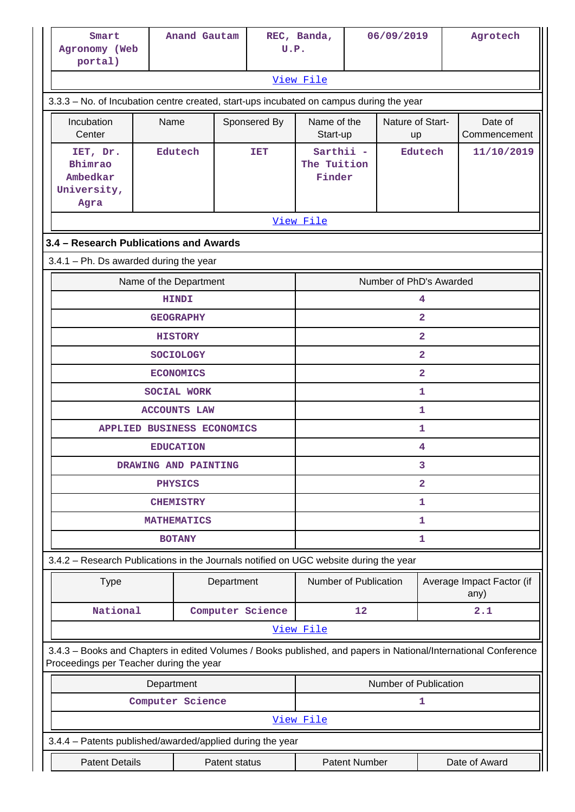| Smart<br>Agronomy (Web<br>portal)                                                                                                                          |                                      | Anand Gautam               | U.P.         | REC, Banda,                           |    | 06/09/2019              |                         | Agrotech                          |  |
|------------------------------------------------------------------------------------------------------------------------------------------------------------|--------------------------------------|----------------------------|--------------|---------------------------------------|----|-------------------------|-------------------------|-----------------------------------|--|
|                                                                                                                                                            |                                      |                            |              | View File                             |    |                         |                         |                                   |  |
| 3.3.3 - No. of Incubation centre created, start-ups incubated on campus during the year                                                                    |                                      |                            |              |                                       |    |                         |                         |                                   |  |
| Incubation<br>Center                                                                                                                                       | Name                                 |                            | Sponsered By | Name of the<br>Start-up               |    | Nature of Start-<br>up  |                         | Date of<br>Commencement           |  |
| IET, Dr.<br>Bhimrao<br>Ambedkar<br>University,<br>Agra                                                                                                     |                                      | Edutech                    | <b>TET</b>   | Sarthii -<br>The Tuition<br>Finder    |    |                         | Edutech                 | 11/10/2019                        |  |
|                                                                                                                                                            |                                      |                            |              | View File                             |    |                         |                         |                                   |  |
| 3.4 - Research Publications and Awards                                                                                                                     |                                      |                            |              |                                       |    |                         |                         |                                   |  |
| $3.4.1$ – Ph. Ds awarded during the year                                                                                                                   |                                      |                            |              |                                       |    |                         |                         |                                   |  |
|                                                                                                                                                            | Name of the Department               |                            |              |                                       |    | Number of PhD's Awarded |                         |                                   |  |
|                                                                                                                                                            | <b>HINDI</b>                         |                            |              |                                       |    |                         | 4<br>$\overline{2}$     |                                   |  |
|                                                                                                                                                            | <b>GEOGRAPHY</b><br><b>HISTORY</b>   |                            |              |                                       |    |                         | $\overline{\mathbf{2}}$ |                                   |  |
|                                                                                                                                                            | $\overline{2}$                       |                            |              |                                       |    |                         |                         |                                   |  |
|                                                                                                                                                            | <b>SOCIOLOGY</b><br><b>ECONOMICS</b> |                            |              |                                       |    |                         | $\overline{2}$          |                                   |  |
|                                                                                                                                                            |                                      | <b>SOCIAL WORK</b>         |              |                                       |    |                         | 1                       |                                   |  |
|                                                                                                                                                            |                                      | <b>ACCOUNTS LAW</b>        |              |                                       |    |                         | 1                       |                                   |  |
|                                                                                                                                                            |                                      | APPLIED BUSINESS ECONOMICS |              |                                       |    |                         | 1                       |                                   |  |
|                                                                                                                                                            |                                      | <b>EDUCATION</b>           |              |                                       |    |                         | 4                       |                                   |  |
|                                                                                                                                                            |                                      | DRAWING AND PAINTING       |              |                                       |    |                         | 3                       |                                   |  |
|                                                                                                                                                            |                                      | <b>PHYSICS</b>             |              | 2                                     |    |                         |                         |                                   |  |
|                                                                                                                                                            |                                      | <b>CHEMISTRY</b>           |              | 1                                     |    |                         |                         |                                   |  |
|                                                                                                                                                            |                                      | <b>MATHEMATICS</b>         |              | 1                                     |    |                         |                         |                                   |  |
|                                                                                                                                                            |                                      | <b>BOTANY</b>              |              | $\mathbf 1$                           |    |                         |                         |                                   |  |
| 3.4.2 - Research Publications in the Journals notified on UGC website during the year                                                                      |                                      |                            |              |                                       |    |                         |                         |                                   |  |
| <b>Type</b>                                                                                                                                                |                                      | Department                 |              | Number of Publication                 |    |                         |                         | Average Impact Factor (if<br>any) |  |
| National                                                                                                                                                   |                                      | Computer Science           |              |                                       | 12 |                         |                         | 2.1                               |  |
|                                                                                                                                                            |                                      |                            |              | View File                             |    |                         |                         |                                   |  |
| 3.4.3 - Books and Chapters in edited Volumes / Books published, and papers in National/International Conference<br>Proceedings per Teacher during the year |                                      |                            |              |                                       |    |                         |                         |                                   |  |
|                                                                                                                                                            | Department                           |                            |              |                                       |    | Number of Publication   |                         |                                   |  |
|                                                                                                                                                            |                                      | Computer Science           |              |                                       |    |                         | 1                       |                                   |  |
|                                                                                                                                                            |                                      |                            |              | View File                             |    |                         |                         |                                   |  |
| 3.4.4 - Patents published/awarded/applied during the year                                                                                                  |                                      |                            |              |                                       |    |                         |                         |                                   |  |
| <b>Patent Details</b>                                                                                                                                      |                                      | Patent status              |              | <b>Patent Number</b><br>Date of Award |    |                         |                         |                                   |  |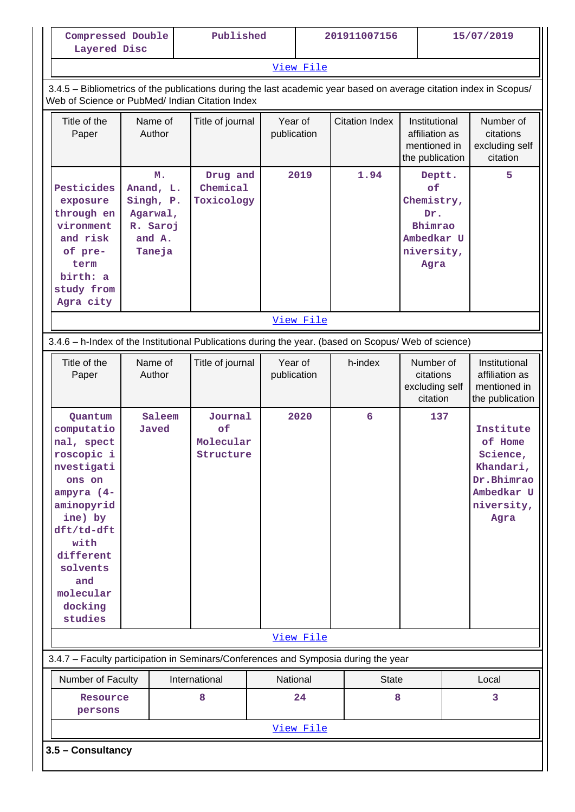| Compressed Double<br>Layered Disc                                                                                                                                                                         |                                                                          |  | Published                          |                        |           | 201911007156          | 15/07/2019                                                                       |                                                                                                 |                                                                    |
|-----------------------------------------------------------------------------------------------------------------------------------------------------------------------------------------------------------|--------------------------------------------------------------------------|--|------------------------------------|------------------------|-----------|-----------------------|----------------------------------------------------------------------------------|-------------------------------------------------------------------------------------------------|--------------------------------------------------------------------|
|                                                                                                                                                                                                           |                                                                          |  |                                    |                        | View File |                       |                                                                                  |                                                                                                 |                                                                    |
| 3.4.5 - Bibliometrics of the publications during the last academic year based on average citation index in Scopus/<br>Web of Science or PubMed/ Indian Citation Index                                     |                                                                          |  |                                    |                        |           |                       |                                                                                  |                                                                                                 |                                                                    |
| Title of the<br>Paper                                                                                                                                                                                     | Name of<br>Author                                                        |  | Title of journal                   | Year of<br>publication |           | <b>Citation Index</b> | Institutional<br>affiliation as<br>mentioned in<br>the publication               |                                                                                                 | Number of<br>citations<br>excluding self<br>citation               |
| Pesticides<br>exposure<br>through en<br>vironment<br>and risk<br>of pre-<br>term<br>birth: a<br>study from<br>Agra city                                                                                   | M.<br>Anand, L.<br>Singh, P.<br>Agarwal,<br>R. Saroj<br>and A.<br>Taneja |  | Drug and<br>Chemical<br>Toxicology |                        | 2019      | 1.94                  | Deptt.<br>of<br>Chemistry,<br>Dr.<br>Bhimrao<br>Ambedkar U<br>niversity,<br>Agra |                                                                                                 | 5.                                                                 |
| View File                                                                                                                                                                                                 |                                                                          |  |                                    |                        |           |                       |                                                                                  |                                                                                                 |                                                                    |
| 3.4.6 - h-Index of the Institutional Publications during the year. (based on Scopus/ Web of science)                                                                                                      |                                                                          |  |                                    |                        |           |                       |                                                                                  |                                                                                                 |                                                                    |
| Title of the<br>Paper                                                                                                                                                                                     | Name of<br>Author                                                        |  | Title of journal                   | Year of<br>publication |           | h-index               | Number of<br>citations<br>excluding self<br>citation                             |                                                                                                 | Institutional<br>affiliation as<br>mentioned in<br>the publication |
| Quantum<br>computatio<br>nal, spect<br>roscopic i<br>nvestigati<br>ons on<br>ampyra (4-<br>aminopyrid<br>ine) by<br>dft/td-dft<br>with<br>different<br>solvents<br>and<br>molecular<br>docking<br>studies | Journal<br>Saleem<br>of<br>Javed<br>Molecular<br>Structure               |  | 2020                               | $6\overline{6}$        |           | 137                   |                                                                                  | Institute<br>of Home<br>Science,<br>Khandari,<br>Dr.Bhimrao<br>Ambedkar U<br>niversity,<br>Agra |                                                                    |
|                                                                                                                                                                                                           |                                                                          |  |                                    |                        | View File |                       |                                                                                  |                                                                                                 |                                                                    |
| 3.4.7 - Faculty participation in Seminars/Conferences and Symposia during the year                                                                                                                        |                                                                          |  |                                    |                        |           |                       |                                                                                  |                                                                                                 |                                                                    |
| Number of Faculty                                                                                                                                                                                         |                                                                          |  | International                      | National               |           | <b>State</b>          |                                                                                  |                                                                                                 | Local                                                              |
| Resource<br>persons                                                                                                                                                                                       |                                                                          |  | 8                                  |                        | 24        | 8                     |                                                                                  |                                                                                                 | 3                                                                  |
|                                                                                                                                                                                                           |                                                                          |  |                                    |                        | View File |                       |                                                                                  |                                                                                                 |                                                                    |
| 3.5 - Consultancy                                                                                                                                                                                         |                                                                          |  |                                    |                        |           |                       |                                                                                  |                                                                                                 |                                                                    |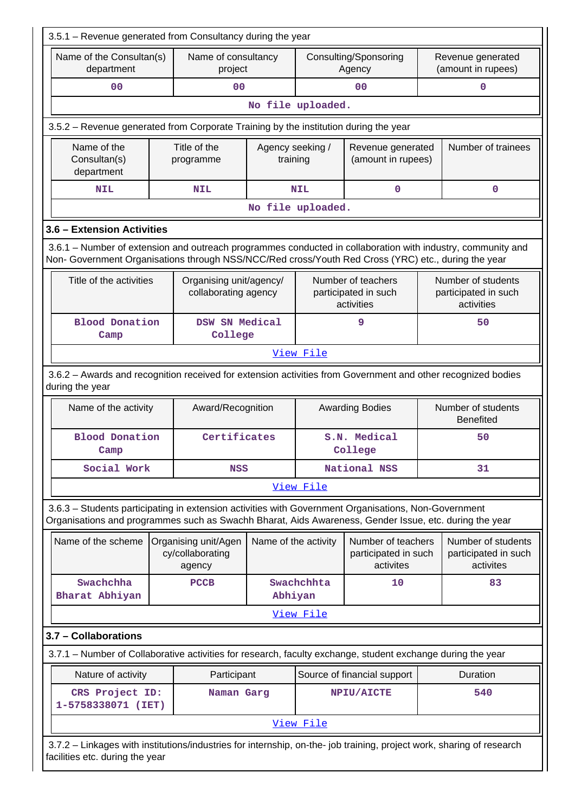| 3.5.1 - Revenue generated from Consultancy during the year                                                                                                                                                         |  |                                                    |                              |                         |                                                          |                                        |                                                          |  |  |
|--------------------------------------------------------------------------------------------------------------------------------------------------------------------------------------------------------------------|--|----------------------------------------------------|------------------------------|-------------------------|----------------------------------------------------------|----------------------------------------|----------------------------------------------------------|--|--|
| Name of the Consultan(s)<br>department                                                                                                                                                                             |  | Name of consultancy<br>project                     |                              |                         | Consulting/Sponsoring<br>Agency                          |                                        | Revenue generated<br>(amount in rupees)                  |  |  |
| 0 <sup>0</sup>                                                                                                                                                                                                     |  | 0 <sub>0</sub>                                     |                              |                         | 0 <sub>0</sub>                                           |                                        | 0                                                        |  |  |
|                                                                                                                                                                                                                    |  |                                                    | No file uploaded.            |                         |                                                          |                                        |                                                          |  |  |
| 3.5.2 – Revenue generated from Corporate Training by the institution during the year                                                                                                                               |  |                                                    |                              |                         |                                                          |                                        |                                                          |  |  |
| Name of the<br>Consultan(s)<br>department                                                                                                                                                                          |  | Title of the<br>programme                          | Agency seeking /<br>training |                         | Revenue generated<br>(amount in rupees)                  |                                        | Number of trainees                                       |  |  |
| <b>NIL</b>                                                                                                                                                                                                         |  | <b>NIL</b>                                         |                              | <b>NIL</b>              | $\mathbf 0$                                              |                                        | $\mathbf 0$                                              |  |  |
|                                                                                                                                                                                                                    |  |                                                    | No file uploaded.            |                         |                                                          |                                        |                                                          |  |  |
| 3.6 - Extension Activities                                                                                                                                                                                         |  |                                                    |                              |                         |                                                          |                                        |                                                          |  |  |
| 3.6.1 – Number of extension and outreach programmes conducted in collaboration with industry, community and<br>Non- Government Organisations through NSS/NCC/Red cross/Youth Red Cross (YRC) etc., during the year |  |                                                    |                              |                         |                                                          |                                        |                                                          |  |  |
| Title of the activities                                                                                                                                                                                            |  | Organising unit/agency/<br>collaborating agency    |                              |                         | Number of teachers<br>participated in such<br>activities |                                        | Number of students<br>participated in such<br>activities |  |  |
| <b>Blood Donation</b><br>Camp                                                                                                                                                                                      |  | DSW SN Medical<br>College                          |                              |                         | 9                                                        | 50                                     |                                                          |  |  |
| View File                                                                                                                                                                                                          |  |                                                    |                              |                         |                                                          |                                        |                                                          |  |  |
| 3.6.2 - Awards and recognition received for extension activities from Government and other recognized bodies<br>during the year                                                                                    |  |                                                    |                              |                         |                                                          |                                        |                                                          |  |  |
| Name of the activity                                                                                                                                                                                               |  | Award/Recognition                                  |                              |                         | <b>Awarding Bodies</b>                                   | Number of students<br><b>Benefited</b> |                                                          |  |  |
| <b>Blood Donation</b><br>Camp                                                                                                                                                                                      |  | Certificates                                       |                              | S.N. Medical<br>College |                                                          |                                        | 50                                                       |  |  |
| Social Work                                                                                                                                                                                                        |  | <b>NSS</b>                                         |                              |                         | National NSS<br>31                                       |                                        |                                                          |  |  |
|                                                                                                                                                                                                                    |  |                                                    |                              | View File               |                                                          |                                        |                                                          |  |  |
| 3.6.3 - Students participating in extension activities with Government Organisations, Non-Government<br>Organisations and programmes such as Swachh Bharat, Aids Awareness, Gender Issue, etc. during the year     |  |                                                    |                              |                         |                                                          |                                        |                                                          |  |  |
| Name of the scheme                                                                                                                                                                                                 |  | Organising unit/Agen<br>cy/collaborating<br>agency | Name of the activity         |                         | Number of teachers<br>participated in such<br>activites  |                                        | Number of students<br>participated in such<br>activites  |  |  |
| Swachchha<br>Bharat Abhiyan                                                                                                                                                                                        |  | <b>PCCB</b>                                        | Abhiyan                      | Swachchhta              | 10                                                       |                                        | 83                                                       |  |  |
|                                                                                                                                                                                                                    |  |                                                    |                              | View File               |                                                          |                                        |                                                          |  |  |
| 3.7 - Collaborations                                                                                                                                                                                               |  |                                                    |                              |                         |                                                          |                                        |                                                          |  |  |
| 3.7.1 - Number of Collaborative activities for research, faculty exchange, student exchange during the year                                                                                                        |  |                                                    |                              |                         |                                                          |                                        |                                                          |  |  |
| Nature of activity                                                                                                                                                                                                 |  | Participant                                        |                              |                         | Source of financial support                              |                                        | Duration                                                 |  |  |
| CRS Project ID:<br>1-5758338071 (IET)                                                                                                                                                                              |  | Naman Garg                                         |                              |                         | NPIU/AICTE                                               |                                        | 540                                                      |  |  |
|                                                                                                                                                                                                                    |  |                                                    |                              | View File               |                                                          |                                        |                                                          |  |  |
| 3.7.2 - Linkages with institutions/industries for internship, on-the- job training, project work, sharing of research<br>facilities etc. during the year                                                           |  |                                                    |                              |                         |                                                          |                                        |                                                          |  |  |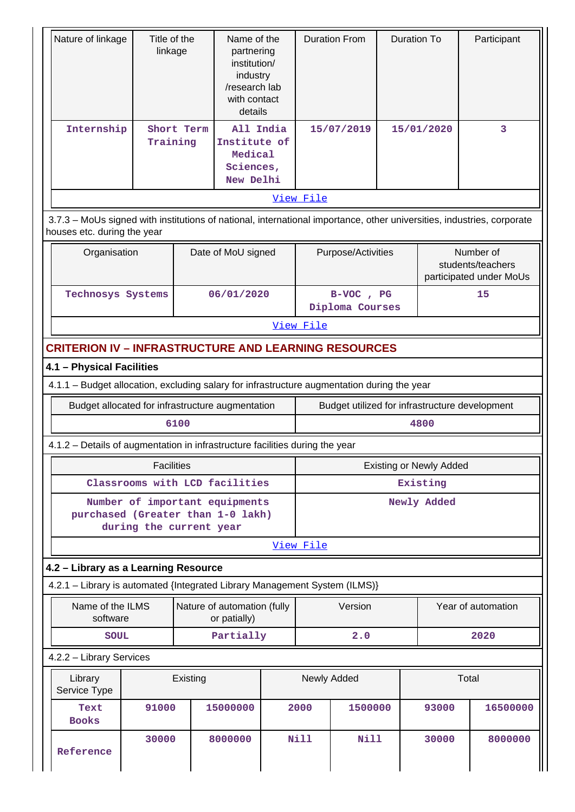| Nature of linkage                                                                           |                                                                                                                                                       | Title of the<br>linkage |                                                                | Name of the<br>partnering<br>institution/<br>industry<br>/research lab<br>with contact<br>details | <b>Duration From</b>         |                    | <b>Duration To</b> |                                | Participant                                               |
|---------------------------------------------------------------------------------------------|-------------------------------------------------------------------------------------------------------------------------------------------------------|-------------------------|----------------------------------------------------------------|---------------------------------------------------------------------------------------------------|------------------------------|--------------------|--------------------|--------------------------------|-----------------------------------------------------------|
| Internship                                                                                  | Training                                                                                                                                              | Short Term              | All India<br>Institute of<br>Medical<br>Sciences,<br>New Delhi |                                                                                                   |                              | 15/07/2019         |                    | 15/01/2020                     | 3                                                         |
|                                                                                             |                                                                                                                                                       |                         |                                                                |                                                                                                   | View File                    |                    |                    |                                |                                                           |
|                                                                                             | 3.7.3 - MoUs signed with institutions of national, international importance, other universities, industries, corporate<br>houses etc. during the year |                         |                                                                |                                                                                                   |                              |                    |                    |                                |                                                           |
|                                                                                             | Date of MoU signed<br>Organisation                                                                                                                    |                         |                                                                |                                                                                                   |                              | Purpose/Activities |                    |                                | Number of<br>students/teachers<br>participated under MoUs |
|                                                                                             | Technosys Systems                                                                                                                                     |                         |                                                                | 06/01/2020                                                                                        | B-VOC, PG<br>Diploma Courses |                    |                    |                                | 15                                                        |
|                                                                                             |                                                                                                                                                       |                         |                                                                |                                                                                                   | View File                    |                    |                    |                                |                                                           |
| <b>CRITERION IV - INFRASTRUCTURE AND LEARNING RESOURCES</b>                                 |                                                                                                                                                       |                         |                                                                |                                                                                                   |                              |                    |                    |                                |                                                           |
| 4.1 - Physical Facilities                                                                   |                                                                                                                                                       |                         |                                                                |                                                                                                   |                              |                    |                    |                                |                                                           |
| 4.1.1 - Budget allocation, excluding salary for infrastructure augmentation during the year |                                                                                                                                                       |                         |                                                                |                                                                                                   |                              |                    |                    |                                |                                                           |
| Budget allocated for infrastructure augmentation                                            |                                                                                                                                                       |                         |                                                                |                                                                                                   |                              |                    |                    |                                | Budget utilized for infrastructure development            |
|                                                                                             |                                                                                                                                                       | 6100                    |                                                                |                                                                                                   | 4800                         |                    |                    |                                |                                                           |
| 4.1.2 - Details of augmentation in infrastructure facilities during the year                |                                                                                                                                                       |                         |                                                                |                                                                                                   |                              |                    |                    |                                |                                                           |
|                                                                                             | <b>Facilities</b>                                                                                                                                     |                         |                                                                |                                                                                                   |                              |                    |                    | <b>Existing or Newly Added</b> |                                                           |
|                                                                                             | Classrooms with LCD facilities                                                                                                                        |                         |                                                                |                                                                                                   | Existing                     |                    |                    |                                |                                                           |
| purchased (Greater than 1-0 lakh)                                                           | Number of important equipments<br>during the current year                                                                                             |                         |                                                                |                                                                                                   | Newly Added                  |                    |                    |                                |                                                           |
|                                                                                             |                                                                                                                                                       |                         |                                                                |                                                                                                   | View File                    |                    |                    |                                |                                                           |
| 4.2 - Library as a Learning Resource                                                        |                                                                                                                                                       |                         |                                                                |                                                                                                   |                              |                    |                    |                                |                                                           |
| 4.2.1 - Library is automated {Integrated Library Management System (ILMS)}                  |                                                                                                                                                       |                         |                                                                |                                                                                                   |                              |                    |                    |                                |                                                           |
| Name of the ILMS<br>software                                                                |                                                                                                                                                       |                         | Nature of automation (fully<br>or patially)                    |                                                                                                   |                              | Version            |                    |                                | Year of automation                                        |
| <b>SOUL</b>                                                                                 |                                                                                                                                                       |                         | Partially                                                      |                                                                                                   |                              | 2.0                |                    |                                | 2020                                                      |
| 4.2.2 - Library Services                                                                    |                                                                                                                                                       |                         |                                                                |                                                                                                   |                              |                    |                    |                                |                                                           |
| Library<br>Service Type                                                                     |                                                                                                                                                       | Existing                |                                                                |                                                                                                   | Newly Added                  |                    |                    |                                | Total                                                     |
| Text<br><b>Books</b>                                                                        | 91000                                                                                                                                                 |                         | 15000000                                                       |                                                                                                   | 2000                         | 1500000            |                    | 93000                          | 16500000                                                  |
| Reference                                                                                   | 30000                                                                                                                                                 |                         | 8000000                                                        | Nill                                                                                              |                              | Nill               |                    | 30000                          | 8000000                                                   |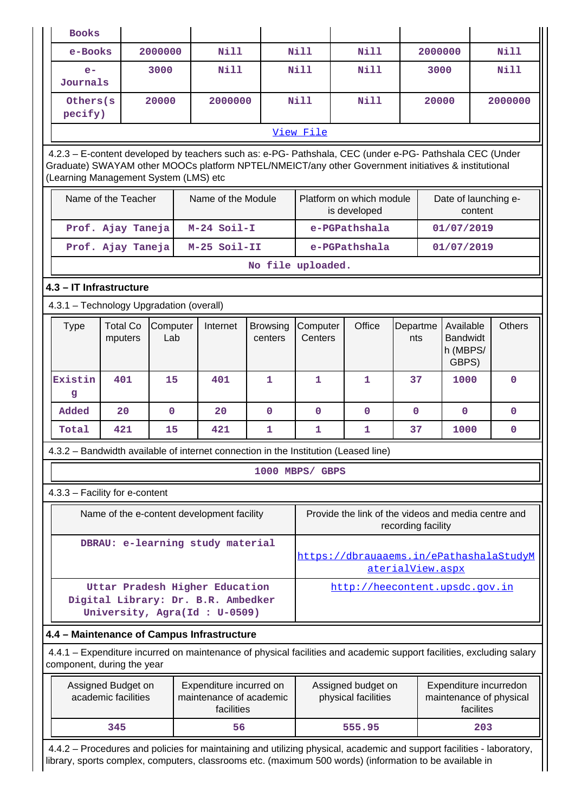| <b>Books</b>                                                                                                                                                                                                                                            |                                           |                 |                                                                                                                                                                                                                                  |                            |                                                                                                |                                          |                 |            |                                                   |           |               |
|---------------------------------------------------------------------------------------------------------------------------------------------------------------------------------------------------------------------------------------------------------|-------------------------------------------|-----------------|----------------------------------------------------------------------------------------------------------------------------------------------------------------------------------------------------------------------------------|----------------------------|------------------------------------------------------------------------------------------------|------------------------------------------|-----------------|------------|---------------------------------------------------|-----------|---------------|
| e-Books                                                                                                                                                                                                                                                 |                                           | 2000000         | <b>Nill</b>                                                                                                                                                                                                                      |                            | Nill                                                                                           | <b>Nill</b>                              |                 | 2000000    |                                                   |           | Nill          |
| $e-$<br>Journals                                                                                                                                                                                                                                        |                                           | 3000            | <b>Nill</b>                                                                                                                                                                                                                      |                            | Nill                                                                                           | <b>Nill</b>                              |                 | 3000       |                                                   |           | Nill          |
| Others (s)<br>pecify)                                                                                                                                                                                                                                   |                                           | 20000           | 2000000                                                                                                                                                                                                                          |                            | Nill                                                                                           | <b>Nill</b>                              |                 | 20000      |                                                   |           | 2000000       |
|                                                                                                                                                                                                                                                         |                                           |                 |                                                                                                                                                                                                                                  |                            | View File                                                                                      |                                          |                 |            |                                                   |           |               |
| 4.2.3 - E-content developed by teachers such as: e-PG- Pathshala, CEC (under e-PG- Pathshala CEC (Under<br>Graduate) SWAYAM other MOOCs platform NPTEL/NMEICT/any other Government initiatives & institutional<br>(Learning Management System (LMS) etc |                                           |                 |                                                                                                                                                                                                                                  |                            |                                                                                                |                                          |                 |            |                                                   |           |               |
| Name of the Teacher                                                                                                                                                                                                                                     |                                           |                 | Name of the Module                                                                                                                                                                                                               |                            |                                                                                                | Platform on which module<br>is developed |                 |            | Date of launching e-                              | content   |               |
|                                                                                                                                                                                                                                                         | Prof. Ajay Taneja                         |                 | $M-24$ Soil-I                                                                                                                                                                                                                    |                            | e-PGPathshala                                                                                  |                                          |                 | 01/07/2019 |                                                   |           |               |
|                                                                                                                                                                                                                                                         | Prof. Ajay Taneja                         |                 | M-25 Soil-II                                                                                                                                                                                                                     |                            |                                                                                                | e-PGPathshala                            |                 |            | 01/07/2019                                        |           |               |
|                                                                                                                                                                                                                                                         |                                           |                 |                                                                                                                                                                                                                                  | No file uploaded.          |                                                                                                |                                          |                 |            |                                                   |           |               |
|                                                                                                                                                                                                                                                         | 4.3 - IT Infrastructure                   |                 |                                                                                                                                                                                                                                  |                            |                                                                                                |                                          |                 |            |                                                   |           |               |
|                                                                                                                                                                                                                                                         | 4.3.1 - Technology Upgradation (overall)  |                 |                                                                                                                                                                                                                                  |                            |                                                                                                |                                          |                 |            |                                                   |           |               |
| <b>Type</b>                                                                                                                                                                                                                                             | <b>Total Co</b><br>mputers                | Computer<br>Lab | Internet                                                                                                                                                                                                                         | <b>Browsing</b><br>centers | Computer<br>Centers                                                                            | Office                                   | Departme<br>nts |            | Available<br><b>Bandwidt</b><br>h (MBPS/<br>GBPS) |           | <b>Others</b> |
| Existin<br>g                                                                                                                                                                                                                                            | 401<br>15<br>401<br>$\mathbf{1}$          |                 | $\mathbf{1}$                                                                                                                                                                                                                     | $\mathbf{1}$               | 37                                                                                             |                                          | 1000            |            | $\mathbf 0$                                       |           |               |
| Added                                                                                                                                                                                                                                                   | 20                                        | $\mathbf 0$     | 20                                                                                                                                                                                                                               | $\mathbf 0$                | $\mathbf 0$                                                                                    | $\mathbf 0$                              | $\mathbf 0$     |            | $\mathbf{0}$                                      |           | $\mathbf{0}$  |
| Total                                                                                                                                                                                                                                                   | 421                                       | 15              | 421                                                                                                                                                                                                                              | 1                          | 1                                                                                              | 1                                        | 37              |            | 1000                                              |           | 0             |
|                                                                                                                                                                                                                                                         |                                           |                 | 4.3.2 - Bandwidth available of internet connection in the Institution (Leased line)                                                                                                                                              |                            |                                                                                                |                                          |                 |            |                                                   |           |               |
|                                                                                                                                                                                                                                                         |                                           |                 |                                                                                                                                                                                                                                  |                            | 1000 MBPS/ GBPS                                                                                |                                          |                 |            |                                                   |           |               |
|                                                                                                                                                                                                                                                         | 4.3.3 - Facility for e-content            |                 |                                                                                                                                                                                                                                  |                            |                                                                                                |                                          |                 |            |                                                   |           |               |
|                                                                                                                                                                                                                                                         |                                           |                 | Name of the e-content development facility                                                                                                                                                                                       |                            | Provide the link of the videos and media centre and<br>recording facility                      |                                          |                 |            |                                                   |           |               |
|                                                                                                                                                                                                                                                         |                                           |                 | DBRAU: e-learning study material                                                                                                                                                                                                 |                            | https://dbrauaaems.in/ePathashalaStudyM<br>aterialView.aspx                                    |                                          |                 |            |                                                   |           |               |
|                                                                                                                                                                                                                                                         |                                           |                 | Uttar Pradesh Higher Education<br>Digital Library: Dr. B.R. Ambedker<br>University, Agra(Id: U-0509)                                                                                                                             |                            |                                                                                                | http://heecontent.upsdc.gov.in           |                 |            |                                                   |           |               |
|                                                                                                                                                                                                                                                         |                                           |                 | 4.4 - Maintenance of Campus Infrastructure                                                                                                                                                                                       |                            |                                                                                                |                                          |                 |            |                                                   |           |               |
|                                                                                                                                                                                                                                                         | component, during the year                |                 | 4.4.1 – Expenditure incurred on maintenance of physical facilities and academic support facilities, excluding salary                                                                                                             |                            |                                                                                                |                                          |                 |            |                                                   |           |               |
|                                                                                                                                                                                                                                                         | Assigned Budget on<br>academic facilities |                 | Expenditure incurred on<br>maintenance of academic<br>facilities                                                                                                                                                                 |                            | Assigned budget on<br>Expenditure incurredon<br>physical facilities<br>maintenance of physical |                                          |                 |            |                                                   | facilites |               |
|                                                                                                                                                                                                                                                         | 345                                       |                 | 56                                                                                                                                                                                                                               |                            |                                                                                                | 555.95                                   |                 |            |                                                   | 203       |               |
|                                                                                                                                                                                                                                                         |                                           |                 | 4.4.2 – Procedures and policies for maintaining and utilizing physical, academic and support facilities - laboratory,<br>library, sports complex, computers, classrooms etc. (maximum 500 words) (information to be available in |                            |                                                                                                |                                          |                 |            |                                                   |           |               |

T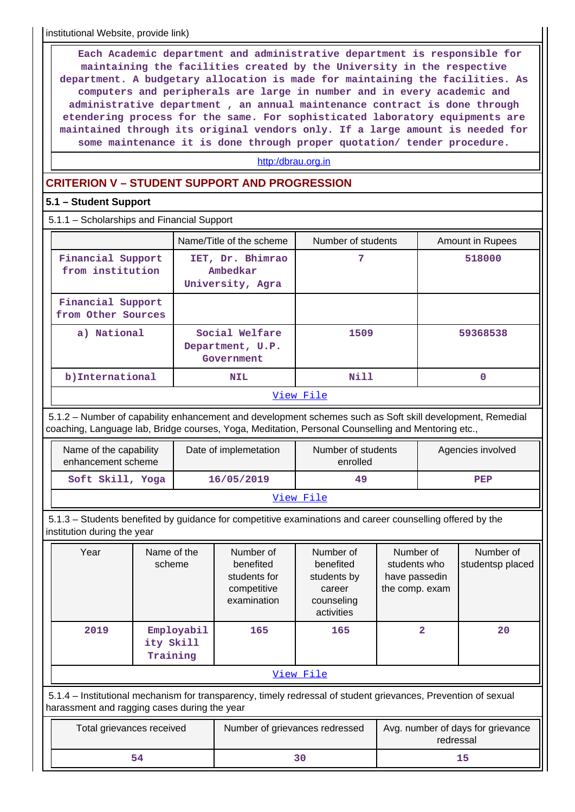institutional Website, provide link)

 **Each Academic department and administrative department is responsible for maintaining the facilities created by the University in the respective department. A budgetary allocation is made for maintaining the facilities. As computers and peripherals are large in number and in every academic and administrative department , an annual maintenance contract is done through etendering process for the same. For sophisticated laboratory equipments are maintained through its original vendors only. If a large amount is needed for some maintenance it is done through proper quotation/ tender procedure.**

#### <http:/dbrau.org.in>

## **CRITERION V – STUDENT SUPPORT AND PROGRESSION**

## **5.1 – Student Support**

5.1.1 – Scholarships and Financial Support

|                                         | Name/Title of the scheme                         | Number of students                 | <b>Amount in Rupees</b> |
|-----------------------------------------|--------------------------------------------------|------------------------------------|-------------------------|
| Financial Support<br>from institution   | IET, Dr. Bhimrao<br>Ambedkar<br>University, Agra | 7                                  | 518000                  |
| Financial Support<br>from Other Sources |                                                  |                                    |                         |
| a) National                             | Social Welfare<br>Department, U.P.<br>Government | 1509                               | 59368538                |
| b)International                         | <b>NIL</b>                                       | Nill                               |                         |
|                                         |                                                  | $57\frac{1}{2}$ and $1\frac{1}{2}$ |                         |

#### [View File](https://assessmentonline.naac.gov.in/public/Postacc/Scholarships/10241_Scholarships_1626255195.xlsx)

 5.1.2 – Number of capability enhancement and development schemes such as Soft skill development, Remedial coaching, Language lab, Bridge courses, Yoga, Meditation, Personal Counselling and Mentoring etc.,

| Name of the capability<br>enhancement scheme | Date of implemetation | Number of students<br>enrolled | Agencies involved |  |  |  |  |  |
|----------------------------------------------|-----------------------|--------------------------------|-------------------|--|--|--|--|--|
| Soft Skill, Yoga                             | 16/05/2019            | 49                             | PEP               |  |  |  |  |  |
| View File                                    |                       |                                |                   |  |  |  |  |  |

 5.1.3 – Students benefited by guidance for competitive examinations and career counselling offered by the institution during the year

| Year                                                                                                                                                           | Name of the<br>scheme               | Number of<br>benefited<br>students for<br>competitive<br>examination | Number of<br>benefited<br>students by<br>career<br>counseling<br>activities | Number of<br>students who<br>have passedin<br>the comp. exam | Number of<br>studentsp placed |  |  |  |  |
|----------------------------------------------------------------------------------------------------------------------------------------------------------------|-------------------------------------|----------------------------------------------------------------------|-----------------------------------------------------------------------------|--------------------------------------------------------------|-------------------------------|--|--|--|--|
| 2019                                                                                                                                                           | Employabil<br>ity Skill<br>Training | 165                                                                  | 165                                                                         | $\overline{2}$                                               | 20                            |  |  |  |  |
| View File                                                                                                                                                      |                                     |                                                                      |                                                                             |                                                              |                               |  |  |  |  |
| 5.1.4 – Institutional mechanism for transparency, timely redressal of student grievances, Prevention of sexual<br>harassment and ragging cases during the year |                                     |                                                                      |                                                                             |                                                              |                               |  |  |  |  |
|                                                                                                                                                                |                                     |                                                                      |                                                                             |                                                              |                               |  |  |  |  |

| Total grievances received | Number of grievances redressed | Avg. number of days for grievance<br>redressal |
|---------------------------|--------------------------------|------------------------------------------------|
|                           |                                |                                                |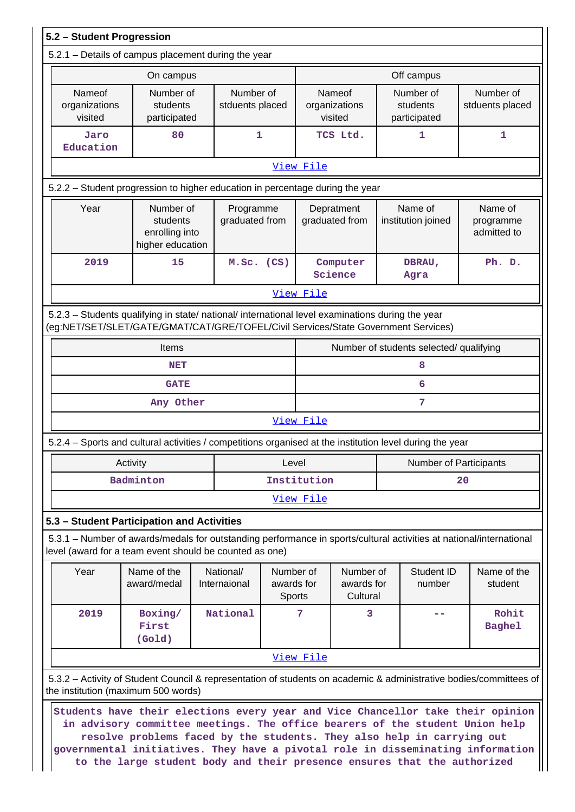|                                    | On campus                                                                                                                                                                              |                              |                                     |             |                                     |    | Off campus                              |  |                                     |
|------------------------------------|----------------------------------------------------------------------------------------------------------------------------------------------------------------------------------------|------------------------------|-------------------------------------|-------------|-------------------------------------|----|-----------------------------------------|--|-------------------------------------|
| Nameof<br>organizations<br>visited | Number of<br>students<br>participated                                                                                                                                                  | Number of<br>stduents placed |                                     |             | Nameof<br>organizations<br>visited  |    | Number of<br>students<br>participated   |  | Number of<br>stduents placed        |
| Jaro<br>Education                  | 80                                                                                                                                                                                     | 1                            |                                     |             | TCS Ltd.                            |    | 1                                       |  | 1                                   |
|                                    |                                                                                                                                                                                        |                              |                                     | View File   |                                     |    |                                         |  |                                     |
|                                    | 5.2.2 - Student progression to higher education in percentage during the year                                                                                                          |                              |                                     |             |                                     |    |                                         |  |                                     |
| Year                               | Number of<br>students<br>enrolling into<br>higher education                                                                                                                            | Programme<br>graduated from  |                                     |             | Depratment<br>graduated from        |    | Name of<br>institution joined           |  | Name of<br>programme<br>admitted to |
| 2019                               | 15                                                                                                                                                                                     |                              | $M.SC.$ (CS)<br>Computer<br>Science |             |                                     |    | DBRAU,<br>Agra                          |  | Ph. D.                              |
|                                    |                                                                                                                                                                                        |                              |                                     | View File   |                                     |    |                                         |  |                                     |
|                                    |                                                                                                                                                                                        |                              |                                     |             |                                     |    |                                         |  |                                     |
|                                    | 5.2.3 - Students qualifying in state/ national/ international level examinations during the year<br>(eg:NET/SET/SLET/GATE/GMAT/CAT/GRE/TOFEL/Civil Services/State Government Services) |                              |                                     |             |                                     |    |                                         |  |                                     |
|                                    | Items                                                                                                                                                                                  |                              |                                     |             |                                     |    | Number of students selected/ qualifying |  |                                     |
| <b>NET</b>                         |                                                                                                                                                                                        |                              |                                     |             |                                     |    | 8                                       |  |                                     |
|                                    | <b>GATE</b>                                                                                                                                                                            |                              |                                     |             |                                     |    | 6                                       |  |                                     |
|                                    | Any Other                                                                                                                                                                              |                              |                                     |             |                                     |    | 7                                       |  |                                     |
|                                    |                                                                                                                                                                                        |                              |                                     | View File   |                                     |    |                                         |  |                                     |
|                                    | 5.2.4 – Sports and cultural activities / competitions organised at the institution level during the year                                                                               |                              |                                     |             |                                     |    |                                         |  |                                     |
|                                    | Activity                                                                                                                                                                               |                              | Level                               |             |                                     |    | Number of Participants                  |  |                                     |
|                                    | Badminton                                                                                                                                                                              |                              |                                     | Institution |                                     | 20 |                                         |  |                                     |
|                                    |                                                                                                                                                                                        |                              |                                     | View File   |                                     |    |                                         |  |                                     |
|                                    | 5.3 - Student Participation and Activities                                                                                                                                             |                              |                                     |             |                                     |    |                                         |  |                                     |
|                                    | 5.3.1 – Number of awards/medals for outstanding performance in sports/cultural activities at national/international<br>level (award for a team event should be counted as one)         |                              |                                     |             |                                     |    |                                         |  |                                     |
| Year                               | Name of the<br>award/medal                                                                                                                                                             | National/<br>Internaional    | Number of<br>awards for<br>Sports   |             | Number of<br>awards for<br>Cultural |    | Student ID<br>number                    |  | Name of the<br>student              |
| 2019                               | Boxing/<br>First<br>(Gold)                                                                                                                                                             | National                     |                                     | 7           | 3                                   |    |                                         |  | Rohit<br><b>Baghel</b>              |
|                                    |                                                                                                                                                                                        |                              |                                     | View File   |                                     |    |                                         |  |                                     |
|                                    | 5.3.2 - Activity of Student Council & representation of students on academic & administrative bodies/committees of<br>the institution (maximum 500 words)                              |                              |                                     |             |                                     |    |                                         |  |                                     |
|                                    | Students have their elections every year and Vice Chancellor take their opinion                                                                                                        |                              |                                     |             |                                     |    |                                         |  |                                     |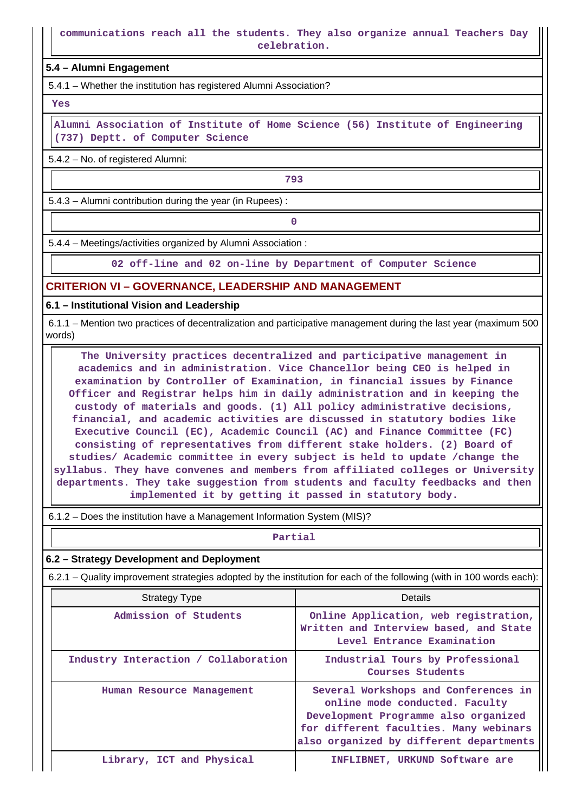**communications reach all the students. They also organize annual Teachers Day celebration.**

**5.4 – Alumni Engagement**

5.4.1 – Whether the institution has registered Alumni Association?

 **Yes**

 **Alumni Association of Institute of Home Science (56) Institute of Engineering (737) Deptt. of Computer Science**

5.4.2 – No. of registered Alumni:

— **1993**<br>1993 — Марк Фард († 1993)

5.4.3 – Alumni contribution during the year (in Rupees) :

**0**

5.4.4 – Meetings/activities organized by Alumni Association :

**02 off-line and 02 on-line by Department of Computer Science**

## **CRITERION VI – GOVERNANCE, LEADERSHIP AND MANAGEMENT**

**6.1 – Institutional Vision and Leadership**

 6.1.1 – Mention two practices of decentralization and participative management during the last year (maximum 500 words)

 **The University practices decentralized and participative management in academics and in administration. Vice Chancellor being CEO is helped in examination by Controller of Examination, in financial issues by Finance Officer and Registrar helps him in daily administration and in keeping the custody of materials and goods. (1) All policy administrative decisions, financial, and academic activities are discussed in statutory bodies like Executive Council (EC), Academic Council (AC) and Finance Committee (FC) consisting of representatives from different stake holders. (2) Board of studies/ Academic committee in every subject is held to update /change the syllabus. They have convenes and members from affiliated colleges or University departments. They take suggestion from students and faculty feedbacks and then implemented it by getting it passed in statutory body.**

6.1.2 – Does the institution have a Management Information System (MIS)?

**Partial**

### **6.2 – Strategy Development and Deployment**

6.2.1 – Quality improvement strategies adopted by the institution for each of the following (with in 100 words each):

| <b>Strategy Type</b>                 | Details                                                                                                                                                                                             |  |  |  |  |
|--------------------------------------|-----------------------------------------------------------------------------------------------------------------------------------------------------------------------------------------------------|--|--|--|--|
| Admission of Students                | Online Application, web registration,<br>Written and Interview based, and State<br>Level Entrance Examination                                                                                       |  |  |  |  |
| Industry Interaction / Collaboration | Industrial Tours by Professional<br>Courses Students                                                                                                                                                |  |  |  |  |
| Human Resource Management            | Several Workshops and Conferences in<br>online mode conducted. Faculty<br>Development Programme also organized<br>for different faculties. Many webinars<br>also organized by different departments |  |  |  |  |
| Library, ICT and Physical            | INFLIBNET, URKUND Software are                                                                                                                                                                      |  |  |  |  |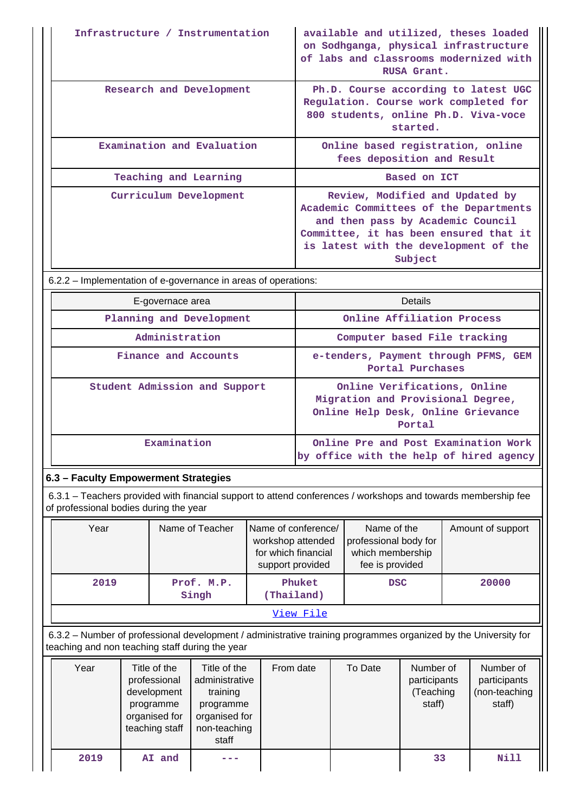| Infrastructure / Instrumentation | available and utilized, theses loaded<br>on Sodhganga, physical infrastructure<br>of labs and classrooms modernized with<br>RUSA Grant.                                                                      |
|----------------------------------|--------------------------------------------------------------------------------------------------------------------------------------------------------------------------------------------------------------|
| Research and Development         | Ph.D. Course according to latest UGC<br>Regulation. Course work completed for<br>800 students, online Ph.D. Viva-voce<br>started.                                                                            |
| Examination and Evaluation       | Online based registration, online<br>fees deposition and Result                                                                                                                                              |
| Teaching and Learning            | Based on ICT                                                                                                                                                                                                 |
| Curriculum Development           | Review, Modified and Updated by<br>Academic Committees of the Departments<br>and then pass by Academic Council<br>Committee, it has been ensured that it<br>is latest with the development of the<br>Subject |

6.2.2 – Implementation of e-governance in areas of operations:

| E-governace area              | <b>Details</b>                                                                                                    |  |  |  |  |
|-------------------------------|-------------------------------------------------------------------------------------------------------------------|--|--|--|--|
| Planning and Development      | Online Affiliation Process                                                                                        |  |  |  |  |
| Administration                | Computer based File tracking                                                                                      |  |  |  |  |
| Finance and Accounts          | e-tenders, Payment through PFMS, GEM<br>Portal Purchases                                                          |  |  |  |  |
| Student Admission and Support | Online Verifications, Online<br>Migration and Provisional Degree,<br>Online Help Desk, Online Grievance<br>Portal |  |  |  |  |
| Examination                   | Online Pre and Post Examination Work<br>by office with the help of hired agency                                   |  |  |  |  |

# **6.3 – Faculty Empowerment Strategies**

 6.3.1 – Teachers provided with financial support to attend conferences / workshops and towards membership fee of professional bodies during the year

| Year | Name of Teacher     | Name of conference/<br>workshop attended<br>for which financial<br>support provided | Name of the<br>professional body for<br>which membership<br>fee is provided | Amount of support |
|------|---------------------|-------------------------------------------------------------------------------------|-----------------------------------------------------------------------------|-------------------|
| 2019 | Prof. M.P.<br>Singh | Phuket<br>(Thailand)                                                                | <b>DSC</b>                                                                  | 20000             |
|      |                     | View File                                                                           |                                                                             |                   |

 6.3.2 – Number of professional development / administrative training programmes organized by the University for teaching and non teaching staff during the year

| Year | Title of the<br>professional<br>development<br>programme<br>organised for<br>teaching staff | Title of the<br>administrative<br>training<br>programme<br>organised for<br>non-teaching<br>staff | From date | To Date | Number of<br>participants<br>(Teaching<br>staff) | Number of<br>participants<br>(non-teaching<br>staff) |
|------|---------------------------------------------------------------------------------------------|---------------------------------------------------------------------------------------------------|-----------|---------|--------------------------------------------------|------------------------------------------------------|
| 2019 | AI and                                                                                      |                                                                                                   |           |         | 33                                               | Nill                                                 |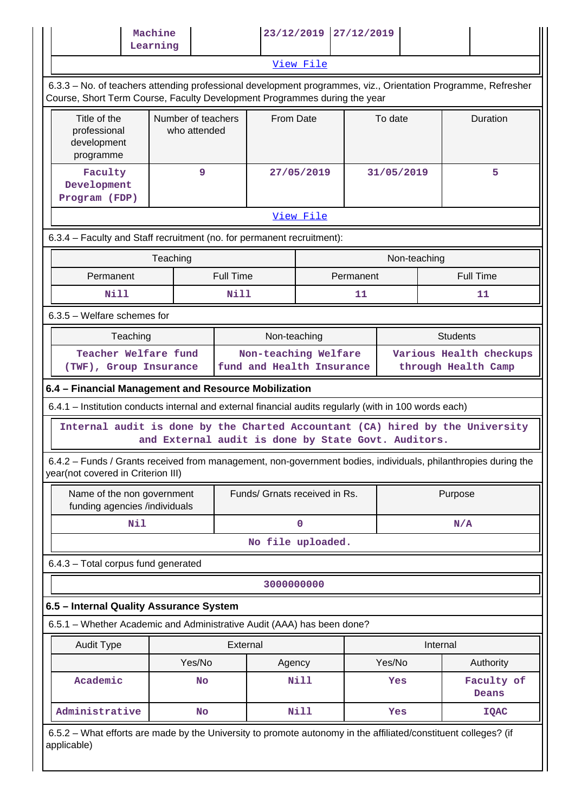|                                                                                                                                                                                            | Machine<br>Learning                                 |                          |              | 23/12/2019 27/12/2019         |                 |              |          |                                            |  |
|--------------------------------------------------------------------------------------------------------------------------------------------------------------------------------------------|-----------------------------------------------------|--------------------------|--------------|-------------------------------|-----------------|--------------|----------|--------------------------------------------|--|
|                                                                                                                                                                                            |                                                     |                          |              | View File                     |                 |              |          |                                            |  |
| 6.3.3 – No. of teachers attending professional development programmes, viz., Orientation Programme, Refresher<br>Course, Short Term Course, Faculty Development Programmes during the year |                                                     |                          |              |                               |                 |              |          |                                            |  |
| Title of the<br>professional<br>development<br>programme                                                                                                                                   | Number of teachers<br>who attended                  |                          | From Date    |                               |                 | To date      |          | Duration                                   |  |
| Faculty<br>Development<br>Program (FDP)                                                                                                                                                    | 9                                                   | 27/05/2019               |              |                               |                 | 31/05/2019   |          | 5                                          |  |
|                                                                                                                                                                                            |                                                     |                          |              | View File                     |                 |              |          |                                            |  |
| 6.3.4 - Faculty and Staff recruitment (no. for permanent recruitment):                                                                                                                     |                                                     |                          |              |                               |                 |              |          |                                            |  |
|                                                                                                                                                                                            | Teaching                                            |                          |              |                               |                 | Non-teaching |          |                                            |  |
| Permanent<br>Nill                                                                                                                                                                          |                                                     | <b>Full Time</b><br>Nill |              |                               | Permanent<br>11 |              |          | <b>Full Time</b><br>11                     |  |
| $6.3.5$ – Welfare schemes for                                                                                                                                                              |                                                     |                          |              |                               |                 |              |          |                                            |  |
|                                                                                                                                                                                            |                                                     |                          |              |                               |                 |              |          |                                            |  |
| Teaching<br>Teacher Welfare fund                                                                                                                                                           |                                                     |                          | Non-teaching | Non-teaching Welfare          |                 |              |          | <b>Students</b><br>Various Health checkups |  |
| (TWF), Group Insurance                                                                                                                                                                     |                                                     |                          |              | fund and Health Insurance     |                 |              |          | through Health Camp                        |  |
| 6.4 - Financial Management and Resource Mobilization                                                                                                                                       |                                                     |                          |              |                               |                 |              |          |                                            |  |
| 6.4.1 – Institution conducts internal and external financial audits regularly (with in 100 words each)                                                                                     |                                                     |                          |              |                               |                 |              |          |                                            |  |
| Internal audit is done by the Charted Accountant (CA) hired by the University                                                                                                              | and External audit is done by State Govt. Auditors. |                          |              |                               |                 |              |          |                                            |  |
| 6.4.2 - Funds / Grants received from management, non-government bodies, individuals, philanthropies during the<br>year(not covered in Criterion III)                                       |                                                     |                          |              |                               |                 |              |          |                                            |  |
| Name of the non government<br>funding agencies /individuals                                                                                                                                |                                                     |                          |              | Funds/ Grnats received in Rs. |                 |              | Purpose  |                                            |  |
| Nil                                                                                                                                                                                        |                                                     |                          | 0            |                               |                 | N/A          |          |                                            |  |
|                                                                                                                                                                                            |                                                     |                          |              | No file uploaded.             |                 |              |          |                                            |  |
| 6.4.3 - Total corpus fund generated                                                                                                                                                        |                                                     |                          |              |                               |                 |              |          |                                            |  |
|                                                                                                                                                                                            |                                                     |                          | 3000000000   |                               |                 |              |          |                                            |  |
| 6.5 - Internal Quality Assurance System                                                                                                                                                    |                                                     |                          |              |                               |                 |              |          |                                            |  |
| 6.5.1 - Whether Academic and Administrative Audit (AAA) has been done?                                                                                                                     |                                                     |                          |              |                               |                 |              |          |                                            |  |
| <b>Audit Type</b>                                                                                                                                                                          |                                                     | External                 |              |                               |                 |              | Internal |                                            |  |
|                                                                                                                                                                                            | Yes/No                                              |                          | Agency       |                               |                 | Yes/No       |          | Authority                                  |  |
| Academic                                                                                                                                                                                   | No                                                  |                          |              | <b>Nill</b>                   |                 | Yes          |          | Faculty of<br>Deans                        |  |
| Administrative                                                                                                                                                                             | <b>No</b>                                           |                          |              | <b>Nill</b>                   |                 | Yes          |          | <b>IQAC</b>                                |  |
| 6.5.2 – What efforts are made by the University to promote autonomy in the affiliated/constituent colleges? (if<br>applicable)                                                             |                                                     |                          |              |                               |                 |              |          |                                            |  |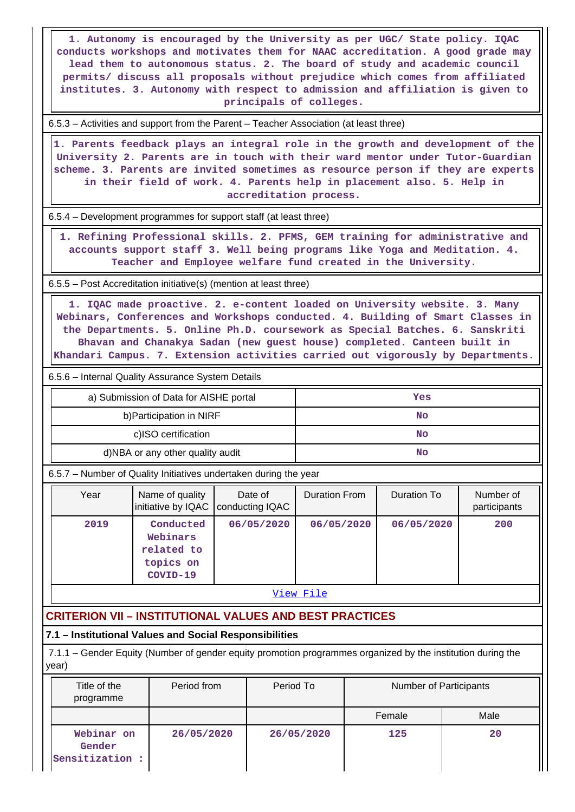**1. Autonomy is encouraged by the University as per UGC/ State policy. IQAC conducts workshops and motivates them for NAAC accreditation. A good grade may lead them to autonomous status. 2. The board of study and academic council permits/ discuss all proposals without prejudice which comes from affiliated institutes. 3. Autonomy with respect to admission and affiliation is given to principals of colleges.**

6.5.3 – Activities and support from the Parent – Teacher Association (at least three)

 **1. Parents feedback plays an integral role in the growth and development of the University 2. Parents are in touch with their ward mentor under Tutor-Guardian scheme. 3. Parents are invited sometimes as resource person if they are experts in their field of work. 4. Parents help in placement also. 5. Help in accreditation process.**

6.5.4 – Development programmes for support staff (at least three)

 **1. Refining Professional skills. 2. PFMS, GEM training for administrative and accounts support staff 3. Well being programs like Yoga and Meditation. 4. Teacher and Employee welfare fund created in the University.**

6.5.5 – Post Accreditation initiative(s) (mention at least three)

 **1. IQAC made proactive. 2. e-content loaded on University website. 3. Many Webinars, Conferences and Workshops conducted. 4. Building of Smart Classes in the Departments. 5. Online Ph.D. coursework as Special Batches. 6. Sanskriti Bhavan and Chanakya Sadan (new guest house) completed. Canteen built in Khandari Campus. 7. Extension activities carried out vigorously by Departments.**

6.5.6 – Internal Quality Assurance System Details

| a) Submission of Data for AISHE portal | Yes |
|----------------------------------------|-----|
| b) Participation in NIRF               | No  |
| c)ISO certification                    | No  |
| d)NBA or any other quality audit       | No  |

6.5.7 – Number of Quality Initiatives undertaken during the year

| Year | Name of quality<br>initiative by IQAC   conducting IQAC      | Date of    | <b>Duration From</b> | Duration To | Number of<br>participants |
|------|--------------------------------------------------------------|------------|----------------------|-------------|---------------------------|
| 2019 | Conducted<br>Webinars<br>related to<br>topics on<br>COVID-19 | 06/05/2020 | 06/05/2020           | 06/05/2020  | 200                       |

[View File](https://assessmentonline.naac.gov.in/public/Postacc/Quality_Initiatives_B/10241_Quality_Initiatives_B_1626258570.xlsx)

## **CRITERION VII – INSTITUTIONAL VALUES AND BEST PRACTICES**

## **7.1 – Institutional Values and Social Responsibilities**

 7.1.1 – Gender Equity (Number of gender equity promotion programmes organized by the institution during the year)

| Title of the<br>programme               | Period from | Period To  | Number of Participants |      |
|-----------------------------------------|-------------|------------|------------------------|------|
|                                         |             |            | Female                 | Male |
| Webinar on<br>Gender<br>Sensitization : | 26/05/2020  | 26/05/2020 | 125                    | 20   |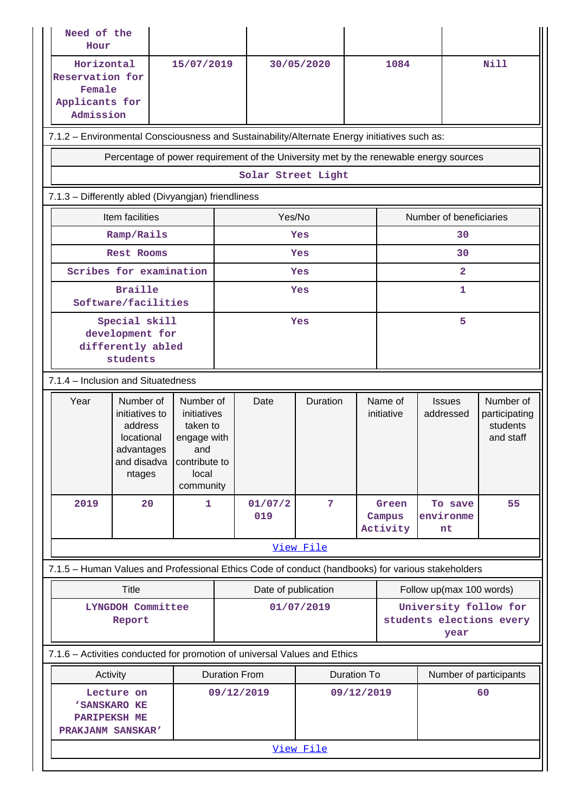|      | Need of the<br>Hour                                                                          |                                                                                                   |                      |                     |                    |                    |                       |                                                                                                   |                                                     |
|------|----------------------------------------------------------------------------------------------|---------------------------------------------------------------------------------------------------|----------------------|---------------------|--------------------|--------------------|-----------------------|---------------------------------------------------------------------------------------------------|-----------------------------------------------------|
|      | Horizontal<br>Reservation for<br>Female<br>Applicants for<br>Admission                       | 15/07/2019                                                                                        |                      |                     | 30/05/2020         |                    | 1084                  |                                                                                                   | <b>Nill</b>                                         |
|      | 7.1.2 - Environmental Consciousness and Sustainability/Alternate Energy initiatives such as: |                                                                                                   |                      |                     |                    |                    |                       |                                                                                                   |                                                     |
|      |                                                                                              |                                                                                                   |                      |                     |                    |                    |                       | Percentage of power requirement of the University met by the renewable energy sources             |                                                     |
|      |                                                                                              |                                                                                                   |                      |                     | Solar Street Light |                    |                       |                                                                                                   |                                                     |
|      | 7.1.3 - Differently abled (Divyangjan) friendliness                                          |                                                                                                   |                      |                     |                    |                    |                       |                                                                                                   |                                                     |
|      | Item facilities                                                                              |                                                                                                   |                      | Yes/No              |                    |                    |                       | Number of beneficiaries                                                                           |                                                     |
|      | Ramp/Rails                                                                                   |                                                                                                   |                      |                     | Yes                |                    |                       | 30                                                                                                |                                                     |
|      | <b>Rest Rooms</b>                                                                            |                                                                                                   |                      |                     | Yes                |                    |                       | 30                                                                                                |                                                     |
|      | Scribes for examination                                                                      |                                                                                                   |                      |                     | Yes                |                    |                       | $\overline{\mathbf{2}}$                                                                           |                                                     |
|      | <b>Braille</b><br>Software/facilities                                                        |                                                                                                   |                      |                     | Yes                |                    |                       | 1                                                                                                 |                                                     |
|      | Special skill<br>development for<br>differently abled<br>students                            |                                                                                                   |                      |                     | Yes                |                    | 5                     |                                                                                                   |                                                     |
|      | 7.1.4 - Inclusion and Situatedness                                                           |                                                                                                   |                      |                     |                    |                    |                       |                                                                                                   |                                                     |
|      |                                                                                              |                                                                                                   |                      |                     |                    |                    |                       |                                                                                                   |                                                     |
| Year | Number of<br>initiatives to<br>address<br>locational<br>advantages<br>and disadva<br>ntages  | Number of<br>initiatives<br>taken to<br>engage with<br>and<br>contribute to<br>local<br>community |                      | Date                | Duration           |                    | Name of<br>initiative | <b>Issues</b><br>addressed                                                                        | Number of<br>participating<br>students<br>and staff |
| 2019 | 20                                                                                           | $\mathbf{1}$                                                                                      |                      | 01/07/2             | $\overline{7}$     |                    | Green                 | To save                                                                                           | 55                                                  |
|      |                                                                                              |                                                                                                   |                      | 019                 |                    |                    | Campus<br>Activity    | environme<br>nt                                                                                   |                                                     |
|      |                                                                                              |                                                                                                   |                      |                     | View File          |                    |                       |                                                                                                   |                                                     |
|      |                                                                                              |                                                                                                   |                      |                     |                    |                    |                       | 7.1.5 - Human Values and Professional Ethics Code of conduct (handbooks) for various stakeholders |                                                     |
|      | <b>Title</b>                                                                                 |                                                                                                   |                      | Date of publication |                    |                    |                       | Follow up(max 100 words)                                                                          |                                                     |
|      | LYNGDOH Committee<br>Report                                                                  |                                                                                                   |                      |                     | 01/07/2019         |                    |                       | University follow for<br>students elections every<br>year                                         |                                                     |
|      | 7.1.6 - Activities conducted for promotion of universal Values and Ethics                    |                                                                                                   |                      |                     |                    |                    |                       |                                                                                                   |                                                     |
|      | Activity                                                                                     |                                                                                                   | <b>Duration From</b> |                     |                    | <b>Duration To</b> |                       | Number of participants                                                                            |                                                     |
|      | Lecture on<br>'SANSKARO KE<br><b>PARIPEKSH ME</b><br>PRAKJANM SANSKAR'                       |                                                                                                   | 09/12/2019           |                     |                    | 09/12/2019         |                       |                                                                                                   | 60                                                  |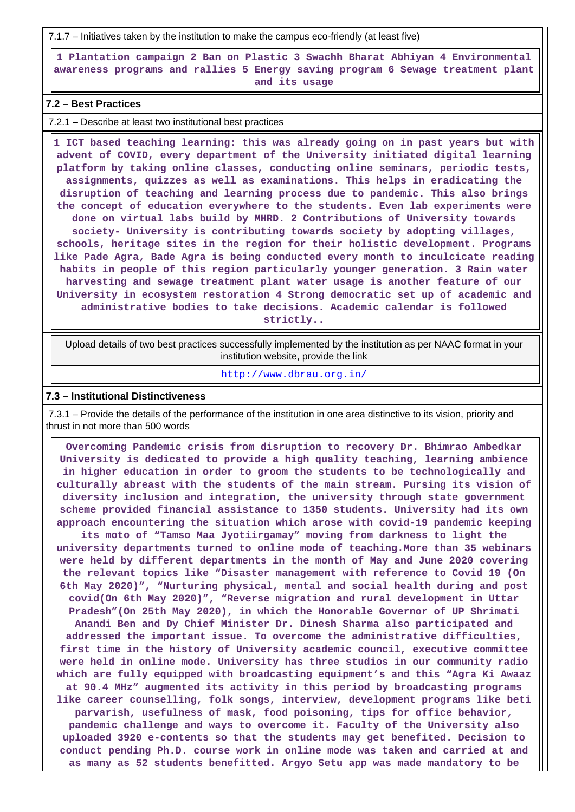7.1.7 – Initiatives taken by the institution to make the campus eco-friendly (at least five)

 **1 Plantation campaign 2 Ban on Plastic 3 Swachh Bharat Abhiyan 4 Environmental awareness programs and rallies 5 Energy saving program 6 Sewage treatment plant and its usage**

### **7.2 – Best Practices**

7.2.1 – Describe at least two institutional best practices

 **1 ICT based teaching learning: this was already going on in past years but with advent of COVID, every department of the University initiated digital learning platform by taking online classes, conducting online seminars, periodic tests, assignments, quizzes as well as examinations. This helps in eradicating the disruption of teaching and learning process due to pandemic. This also brings the concept of education everywhere to the students. Even lab experiments were done on virtual labs build by MHRD. 2 Contributions of University towards society- University is contributing towards society by adopting villages, schools, heritage sites in the region for their holistic development. Programs like Pade Agra, Bade Agra is being conducted every month to inculcicate reading habits in people of this region particularly younger generation. 3 Rain water harvesting and sewage treatment plant water usage is another feature of our University in ecosystem restoration 4 Strong democratic set up of academic and administrative bodies to take decisions. Academic calendar is followed strictly..**

 Upload details of two best practices successfully implemented by the institution as per NAAC format in your institution website, provide the link

#### <http://www.dbrau.org.in/>

#### **7.3 – Institutional Distinctiveness**

 7.3.1 – Provide the details of the performance of the institution in one area distinctive to its vision, priority and thrust in not more than 500 words

 **Overcoming Pandemic crisis from disruption to recovery Dr. Bhimrao Ambedkar University is dedicated to provide a high quality teaching, learning ambience in higher education in order to groom the students to be technologically and culturally abreast with the students of the main stream. Pursing its vision of diversity inclusion and integration, the university through state government scheme provided financial assistance to 1350 students. University had its own approach encountering the situation which arose with covid-19 pandemic keeping**

**its moto of "Tamso Maa Jyotiirgamay" moving from darkness to light the university departments turned to online mode of teaching.More than 35 webinars were held by different departments in the month of May and June 2020 covering the relevant topics like "Disaster management with reference to Covid 19 (On 6th May 2020)", "Nurturing physical, mental and social health during and post covid(On 6th May 2020)", "Reverse migration and rural development in Uttar Pradesh"(On 25th May 2020), in which the Honorable Governor of UP Shrimati Anandi Ben and Dy Chief Minister Dr. Dinesh Sharma also participated and addressed the important issue. To overcome the administrative difficulties, first time in the history of University academic council, executive committee were held in online mode. University has three studios in our community radio which are fully equipped with broadcasting equipment's and this "Agra Ki Awaaz at 90.4 MHz" augmented its activity in this period by broadcasting programs like career counselling, folk songs, interview, development programs like beti parvarish, usefulness of mask, food poisoning, tips for office behavior, pandemic challenge and ways to overcome it. Faculty of the University also uploaded 3920 e-contents so that the students may get benefited. Decision to conduct pending Ph.D. course work in online mode was taken and carried at and as many as 52 students benefitted. Argyo Setu app was made mandatory to be**